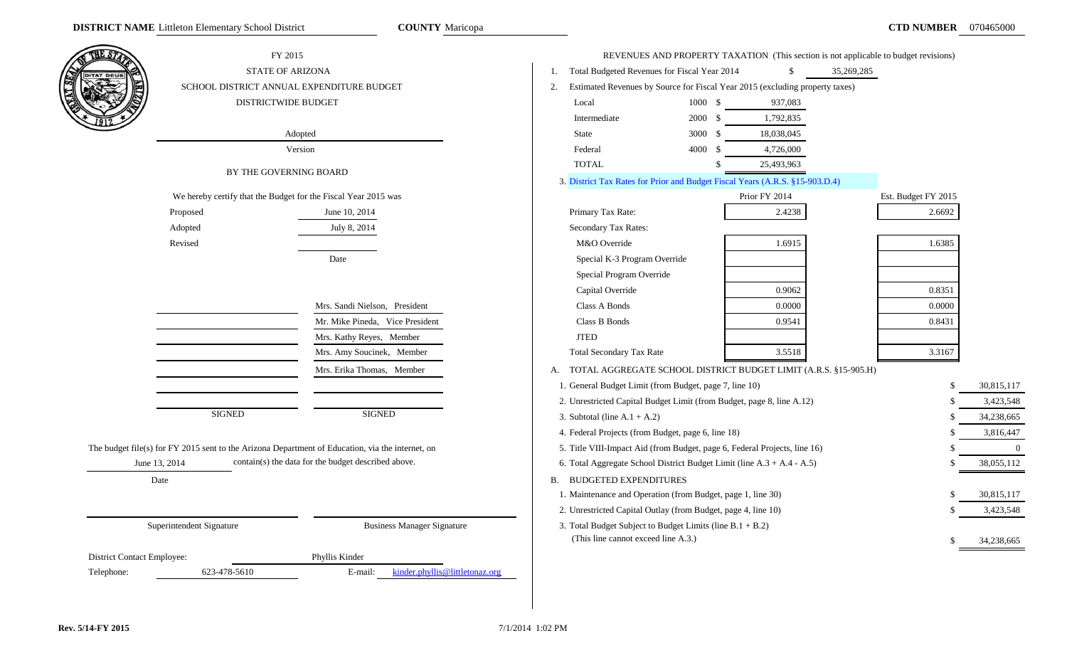| THE STA                    | FY 2015                                                                                          |                                                     |                                                                           |         |                                                                              | REVENUES AND PROPERTY TAXATION (This section is not applicable to budget revisions) |                |
|----------------------------|--------------------------------------------------------------------------------------------------|-----------------------------------------------------|---------------------------------------------------------------------------|---------|------------------------------------------------------------------------------|-------------------------------------------------------------------------------------|----------------|
|                            | <b>STATE OF ARIZONA</b>                                                                          |                                                     | Total Budgeted Revenues for Fiscal Year 2014<br>1.                        |         |                                                                              | 35,269,285                                                                          |                |
|                            | SCHOOL DISTRICT ANNUAL EXPENDITURE BUDGET                                                        |                                                     | 2.                                                                        |         | Estimated Revenues by Source for Fiscal Year 2015 (excluding property taxes) |                                                                                     |                |
|                            | DISTRICTWIDE BUDGET                                                                              |                                                     | Local                                                                     | 1000 \$ | 937,083                                                                      |                                                                                     |                |
|                            |                                                                                                  |                                                     | Intermediate                                                              | 2000 \$ | 1,792,835                                                                    |                                                                                     |                |
|                            |                                                                                                  | Adopted                                             | State                                                                     | 3000 \$ | 18,038,045                                                                   |                                                                                     |                |
|                            |                                                                                                  | Version                                             | Federal                                                                   | 4000 \$ | 4,726,000                                                                    |                                                                                     |                |
|                            | BY THE GOVERNING BOARD                                                                           |                                                     | <b>TOTAL</b>                                                              | -S      | 25,493,963                                                                   |                                                                                     |                |
|                            |                                                                                                  |                                                     |                                                                           |         | 3. District Tax Rates for Prior and Budget Fiscal Years (A.R.S. §15-903.D.4) |                                                                                     |                |
|                            | We hereby certify that the Budget for the Fiscal Year 2015 was                                   |                                                     |                                                                           |         | Prior FY 2014                                                                | Est. Budget FY 2015                                                                 |                |
|                            | Proposed                                                                                         | June 10, 2014                                       | Primary Tax Rate:                                                         |         | 2.4238                                                                       | 2.6692                                                                              |                |
|                            | Adopted                                                                                          | July 8, 2014                                        | Secondary Tax Rates:                                                      |         |                                                                              |                                                                                     |                |
|                            | Revised                                                                                          |                                                     | M&O Override                                                              |         | 1.6915                                                                       | 1.6385                                                                              |                |
|                            |                                                                                                  | Date                                                | Special K-3 Program Override                                              |         |                                                                              |                                                                                     |                |
|                            |                                                                                                  |                                                     | Special Program Override                                                  |         |                                                                              |                                                                                     |                |
|                            |                                                                                                  |                                                     | Capital Override                                                          |         | 0.9062                                                                       | 0.8351                                                                              |                |
|                            |                                                                                                  | Mrs. Sandi Nielson, President                       | Class A Bonds                                                             |         | 0.0000                                                                       | 0.0000                                                                              |                |
|                            |                                                                                                  | Mr. Mike Pineda, Vice President                     | Class B Bonds                                                             |         | 0.9541                                                                       | 0.8431                                                                              |                |
|                            |                                                                                                  | Mrs. Kathy Reyes, Member                            | <b>JTED</b>                                                               |         |                                                                              |                                                                                     |                |
|                            |                                                                                                  | Mrs. Amy Soucinek, Member                           | Total Secondary Tax Rate                                                  |         | 3.5518                                                                       | 3.3167                                                                              |                |
|                            |                                                                                                  | Mrs. Erika Thomas, Member                           | A. TOTAL AGGREGATE SCHOOL DISTRICT BUDGET LIMIT (A.R.S. §15-905.H)        |         |                                                                              |                                                                                     |                |
|                            |                                                                                                  |                                                     | 1. General Budget Limit (from Budget, page 7, line 10)                    |         |                                                                              | \$                                                                                  | 30,815,117     |
|                            |                                                                                                  |                                                     | 2. Unrestricted Capital Budget Limit (from Budget, page 8, line A.12)     |         |                                                                              |                                                                                     | 3,423,548      |
|                            | <b>SIGNED</b>                                                                                    | <b>SIGNED</b>                                       | 3. Subtotal (line $A.1 + A.2$ )                                           |         |                                                                              | -\$                                                                                 | 34,238,665     |
|                            |                                                                                                  |                                                     | 4. Federal Projects (from Budget, page 6, line 18)                        |         |                                                                              |                                                                                     | 3,816,447      |
|                            | The budget file(s) for FY 2015 sent to the Arizona Department of Education, via the internet, on |                                                     | 5. Title VIII-Impact Aid (from Budget, page 6, Federal Projects, line 16) |         |                                                                              |                                                                                     | $\overline{0}$ |
|                            | June 13, 2014                                                                                    | contain(s) the data for the budget described above. | 6. Total Aggregate School District Budget Limit (line A.3 + A.4 - A.5)    |         |                                                                              |                                                                                     | 38,055,112     |
|                            | Date                                                                                             |                                                     | <b>B. BUDGETED EXPENDITURES</b>                                           |         |                                                                              |                                                                                     |                |
|                            |                                                                                                  |                                                     | 1. Maintenance and Operation (from Budget, page 1, line 30)               |         |                                                                              |                                                                                     | 30,815,117     |
|                            |                                                                                                  |                                                     | 2. Unrestricted Capital Outlay (from Budget, page 4, line 10)             |         |                                                                              |                                                                                     | 3,423,548      |
|                            | Superintendent Signature                                                                         | <b>Business Manager Signature</b>                   | 3. Total Budget Subject to Budget Limits (line $B.1 + B.2$ )              |         |                                                                              |                                                                                     |                |
|                            |                                                                                                  |                                                     | (This line cannot exceed line A.3.)                                       |         |                                                                              |                                                                                     | 34,238,665     |
| District Contact Employee: |                                                                                                  | Phyllis Kinder                                      |                                                                           |         |                                                                              |                                                                                     |                |
| Telephone:                 | 623-478-5610                                                                                     | kinder.phyllis@littletonaz.org<br>E-mail:           |                                                                           |         |                                                                              |                                                                                     |                |
|                            |                                                                                                  |                                                     |                                                                           |         |                                                                              |                                                                                     |                |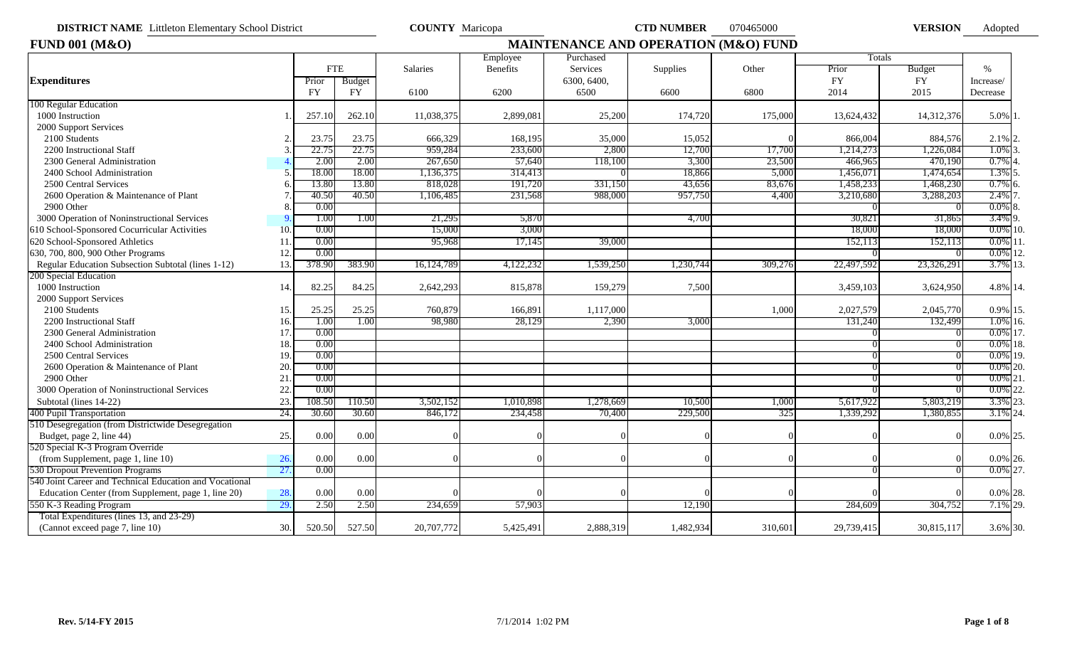**DISTRICT NAME** Littleton Elementary School District **COUNTY** Maricopa **CTD NUMBER** 070465000 **VERSION** 

Adopted

| 1000 Instruction<br>2000 Support Services<br>2100 Students<br>2200 Instructional Staff<br>2300 General Administration |     | Prior     | <b>FTE</b> |              | Employee        | Purchased   |           |         | Totals     |            |             |
|-----------------------------------------------------------------------------------------------------------------------|-----|-----------|------------|--------------|-----------------|-------------|-----------|---------|------------|------------|-------------|
| <b>Expenditures</b><br>100 Regular Education                                                                          |     |           |            |              |                 |             |           |         |            |            |             |
|                                                                                                                       |     |           |            | Salaries     | <b>Benefits</b> | Services    | Supplies  | Other   | Prior      | Budget     | $\%$        |
|                                                                                                                       |     |           | Budget     |              |                 | 6300, 6400, |           |         | <b>FY</b>  | <b>FY</b>  | Increase/   |
|                                                                                                                       |     | <b>FY</b> | FY         | 6100         | 6200            | 6500        | 6600      | 6800    | 2014       | 2015       | Decrease    |
|                                                                                                                       |     |           |            |              |                 |             |           |         |            |            |             |
|                                                                                                                       |     | 257.10    | 262.10     | 11,038,375   | 2,899,081       | 25,200      | 174,720   | 175,000 | 13,624,432 | 14,312,376 | 5.0% 1.     |
|                                                                                                                       |     |           |            |              |                 |             |           |         |            |            |             |
|                                                                                                                       |     | 23.75     | 23.75      | 666,329      | 168,195         | 35,000      | 15,052    |         | 866,004    | 884,576    | $2.1\%$ 2.  |
|                                                                                                                       |     | 22.75     | 22.75      | 959,284      | 233,600         | 2,800       | 12,700    | 17,700  | 1,214,273  | .226,084   | 1.0%        |
|                                                                                                                       |     | 2.00      | 2.00       | 267,650      | 57,640          | 118,100     | 3,300     | 23,500  | 466,965    | 470,190    | 0.7%        |
| 2400 School Administration                                                                                            |     | 18.00     | 18.00      | ,136,375     | 314,413         |             | 18,866    | 5,000   | 1,456,071  | 1,474,654  | 1.3%        |
| 2500 Central Services                                                                                                 |     | 13.80     | 13.80      | 818,028      | 191,720         | 331,150     | 43,656    | 83,676  | 1,458,233  | 1,468,230  | $0.7\%$ 6.  |
| 2600 Operation & Maintenance of Plant                                                                                 |     | 40.50     | 40.50      | ,106,485     | 231,568         | 988,000     | 957,750   | 4,400   | 3,210,680  | 3,288,203  | 2.4%        |
| 2900 Other                                                                                                            |     | 0.00      |            |              |                 |             |           |         |            |            | $0.0\%$ 8.  |
| 3000 Operation of Noninstructional Services                                                                           |     | 1.00      | 1.00       | 21,295       | 5,870           |             | 4,700     |         | 30,821     | 31,865     | 3.4% 9.     |
| 610 School-Sponsored Cocurricular Activities                                                                          | 10. | 0.00      |            | 15,000       | 3,000           |             |           |         | 18,000     | 18,000     | $0.0\%$ 10. |
| 620 School-Sponsored Athletics                                                                                        | 11  | 0.00      |            | 95,968       | 17,145          | 39,000      |           |         | 152,113    | 152,113    | $0.0\%$ 11  |
| 630, 700, 800, 900 Other Programs                                                                                     | 12. | 0.00      |            |              |                 |             |           |         |            |            | $0.0\%$ 12. |
| Regular Education Subsection Subtotal (lines 1-12)                                                                    | 13. | 378.90    | 383.90     | 16, 124, 789 | 4,122,232       | 1,539,250   | 230,744.  | 309,276 | 22,497,592 | 23,326,291 | 3.7% 13     |
| 200 Special Education                                                                                                 |     |           |            |              |                 |             |           |         |            |            |             |
| 1000 Instruction                                                                                                      | 14. | 82.25     | 84.25      | 2,642,293    | 815,878         | 159,279     | 7,500     |         | 3,459,103  | 3,624,950  | 4.8% 14.    |
| 2000 Support Services                                                                                                 |     |           |            |              |                 |             |           |         |            |            |             |
| 2100 Students                                                                                                         | 15. | 25.25     | 25.25      | 760,879      | 166,891         | 1,117,000   |           | 1,000   | 2,027,579  | 2,045,770  | 0.9% 15.    |
| 2200 Instructional Staff                                                                                              | 16. | 1.00      | 1.00       | 98,980       | 28,129          | 2,390       | 3,000     |         | 131,240    | 132,499    | $1.0\%$ 16. |
| 2300 General Administration                                                                                           | 17. | 0.00      |            |              |                 |             |           |         |            |            | 0.0% 17.    |
| 2400 School Administration                                                                                            | 18. | 0.00      |            |              |                 |             |           |         |            |            | $0.0\%$ 18. |
| 2500 Central Services                                                                                                 | 19. | 0.00      |            |              |                 |             |           |         |            |            | 0.0% 19.    |
| 2600 Operation & Maintenance of Plant                                                                                 | 20. | 0.00      |            |              |                 |             |           |         |            |            | $0.0\%$ 20. |
| 2900 Other                                                                                                            | 21  | 0.00      |            |              |                 |             |           |         |            |            | $0.0\%$ 21. |
| 3000 Operation of Noninstructional Services                                                                           | 22  | 0.00      |            |              |                 |             |           |         |            |            | $0.0\%$ 22. |
| Subtotal (lines 14-22)                                                                                                | 23. | 108.50    | 110.50     | 3,502,152    | 1,010,898       | 1,278,669   | 10,500    | 1,000   | 5,617,922  | 5,803,219  | 3.3% 23.    |
| 400 Pupil Transportation                                                                                              | 24. | 30.60     | 30.60      | 846,172      | 234,458         | 70,400      | 229,500   | 325     | 1,339,292  | 1,380,855  | 3.1% 24.    |
| 510 Desegregation (from Districtwide Desegregation                                                                    |     |           |            |              |                 |             |           |         |            |            |             |
| Budget, page 2, line 44)                                                                                              | 25. | 0.00      | 0.00       |              |                 |             |           |         |            |            | 0.0% 25.    |
| 520 Special K-3 Program Override                                                                                      |     |           |            |              |                 |             |           |         |            |            |             |
| (from Supplement, page 1, line 10)                                                                                    | 26. | 0.00      | 0.00       |              |                 |             |           |         |            |            | $0.0\%$ 26. |
| 530 Dropout Prevention Programs                                                                                       | 27. | 0.00      |            |              |                 |             |           |         |            |            | $0.0\%$ 27. |
| 540 Joint Career and Technical Education and Vocational                                                               |     |           |            |              |                 |             |           |         |            |            |             |
| Education Center (from Supplement, page 1, line 20)                                                                   | 28. | 0.00      | 0.00       |              |                 |             |           |         |            |            | $0.0\%$ 28. |
| 550 K-3 Reading Program                                                                                               | 29. | 2.50      | 2.50       | 234,659      | 57,903          |             | 12,190    |         | 284.609    | 304,752    | 7.1% 29.    |
| Total Expenditures (lines 13, and 23-29)                                                                              |     |           |            |              |                 |             |           |         |            |            |             |
| (Cannot exceed page 7, line 10)                                                                                       | 30. | 520.50    | 527.50     | 20,707,772   | 5,425,491       | 2,888,319   | 1,482,934 | 310,601 | 29,739,415 | 30,815,117 | 3.6% 30.    |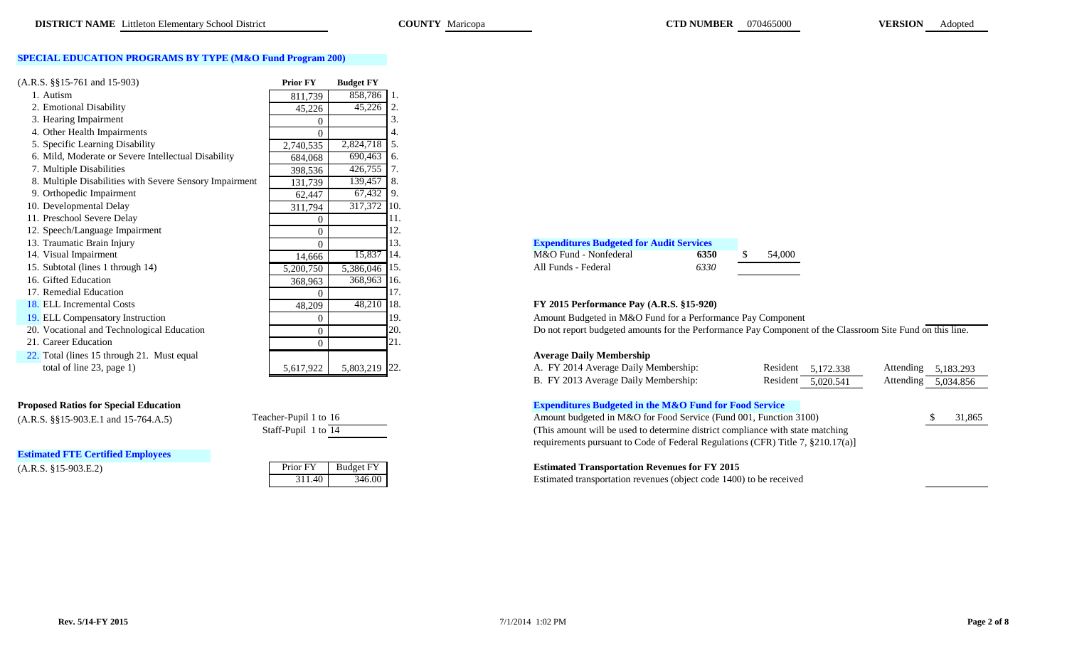### **SPECIAL EDUCATION PROGRAMS BY TYPE (M&O Fund Program 200)**

| $(A.R.S. \$ § 15-761 and 15-903)                        | <b>Prior FY</b> | <b>Budget FY</b> |     |                                                               |      |  |
|---------------------------------------------------------|-----------------|------------------|-----|---------------------------------------------------------------|------|--|
| 1. Autism                                               | 811,739         | 858,786          |     |                                                               |      |  |
| 2. Emotional Disability                                 | 45,226          | 45,226           |     |                                                               |      |  |
| 3. Hearing Impairment                                   |                 |                  |     |                                                               |      |  |
| 4. Other Health Impairments                             | $\Omega$        |                  |     |                                                               |      |  |
| 5. Specific Learning Disability                         | 2,740,535       | 2,824,718 5.     |     |                                                               |      |  |
| 6. Mild, Moderate or Severe Intellectual Disability     | 684,068         | $690,463$ 6.     |     |                                                               |      |  |
| 7. Multiple Disabilities                                | 398,536         | 426,755          |     |                                                               |      |  |
| 8. Multiple Disabilities with Severe Sensory Impairment | 131,739         | 139,457 8.       |     |                                                               |      |  |
| 9. Orthopedic Impairment                                | 62,447          | 67,432           | -9. |                                                               |      |  |
| 10. Developmental Delay                                 | 311,794         | 317,372 10.      |     |                                                               |      |  |
| 11. Preschool Severe Delay                              |                 |                  |     |                                                               |      |  |
| 12. Speech/Language Impairment                          | $\theta$        |                  | l2. |                                                               |      |  |
| 13. Traumatic Brain Injury                              | $\Omega$        |                  | 13. | <b>Expenditures Budgeted for Audit Services</b>               |      |  |
| 14. Visual Impairment                                   | 14,666          | 15,837 14.       |     | M&O Fund - Nonfederal                                         | 6350 |  |
| 15. Subtotal (lines 1 through 14)                       | 5,200,750       | 5,386,046        | 15. | All Funds - Federal                                           | 6330 |  |
| 16. Gifted Education                                    | 368,963         | 368,963          | 16. |                                                               |      |  |
| 17. Remedial Education                                  |                 |                  | 17. |                                                               |      |  |
| 18. ELL Incremental Costs                               | 48,209          | 48,210           | 18. | FY 2015 Performance Pay (A.R.S. §15-920)                      |      |  |
| 19. ELL Compensatory Instruction                        | 0               |                  | 19. | Amount Budgeted in M&O Fund for a Performance Pay Compone     |      |  |
| 20. Vocational and Technological Education              | $\theta$        |                  | 20. | Do not report budgeted amounts for the Performance Pay Compor |      |  |
| 21. Career Education                                    | $\theta$        |                  | 21. |                                                               |      |  |
| 22. Total (lines 15 through 21. Must equal              |                 |                  |     | <b>Average Daily Membership</b>                               |      |  |
| total of line 23, page 1)                               | 5,617,922       | 5,803,219 22.    |     | A. FY 2014 Average Daily Membership:                          |      |  |

### **Proposed Ratios for Special Education**

 $(A.R.S. \S§15-903.E.1 \text{ and } 15-764.A.5)$  Teacher-Pupil 1 to 16

**Estimated FTE Certified Employees**

| <b>Expenditures Budgeted for Audit Services</b> |      |
|-------------------------------------------------|------|
| M&O Fund - Nonfederal                           | 6350 |
| All Funds - Federal                             | 6330 |

| M&O Fund - Nonfederal | 6350 | 54.00 |
|-----------------------|------|-------|
| All Funds - Federal   | 6330 |       |
|                       |      |       |

# re Pay (A.R.S. §15-920)

Amount Budgeted in M&O Fund for a Performance Pay Component

Do not report budgeted amounts for the Performance Pay Component of the Classroom Site Fund on this line.

# **Average Daily Membership**

| total of line $23$ , page 1)                                                                                                                                                                                                                                                                                                    | 5,803,219 22.<br>5,617,922 | A. FY 2014 Average Daily Membership:                                            | Resident 5,172.338 | Attending 5,183.293 |        |
|---------------------------------------------------------------------------------------------------------------------------------------------------------------------------------------------------------------------------------------------------------------------------------------------------------------------------------|----------------------------|---------------------------------------------------------------------------------|--------------------|---------------------|--------|
|                                                                                                                                                                                                                                                                                                                                 |                            | B. FY 2013 Average Daily Membership:                                            | Resident 5,020.541 | Attending 5,034.856 |        |
| sed Ratios for Special Education                                                                                                                                                                                                                                                                                                |                            | <b>Expenditures Budgeted in the M&amp;O Fund for Food Service</b>               |                    |                     |        |
| $\frac{1}{2}$ , $\frac{1}{2}$ , $\frac{1}{2}$ , $\frac{1}{2}$ , $\frac{1}{2}$ , $\frac{1}{2}$ , $\frac{1}{2}$ , $\frac{1}{2}$ , $\frac{1}{2}$ , $\frac{1}{2}$ , $\frac{1}{2}$ , $\frac{1}{2}$ , $\frac{1}{2}$ , $\frac{1}{2}$ , $\frac{1}{2}$ , $\frac{1}{2}$ , $\frac{1}{2}$ , $\frac{1}{2}$ , $\frac{1}{2}$ , $\frac{1}{2}$ , | Teacher-Pupil 1 to 16      | Amount budgeted in M&O for Food Service (Fund 001, Function 3100)               |                    |                     | 31,865 |
|                                                                                                                                                                                                                                                                                                                                 | Staff-Pupil 1 to 14        | (This amount will be used to determine district compliance with state matching  |                    |                     |        |
|                                                                                                                                                                                                                                                                                                                                 |                            | requirements pursuant to Code of Federal Regulations (CFR) Title 7, §210.17(a)] |                    |                     |        |

### (A.R.S. §15-903.E.2) Prior FY Budget FY **Estimated Transportation Revenues for FY 2015**

311.40 346.00 Estimated transportation revenues (object code 1400) to be received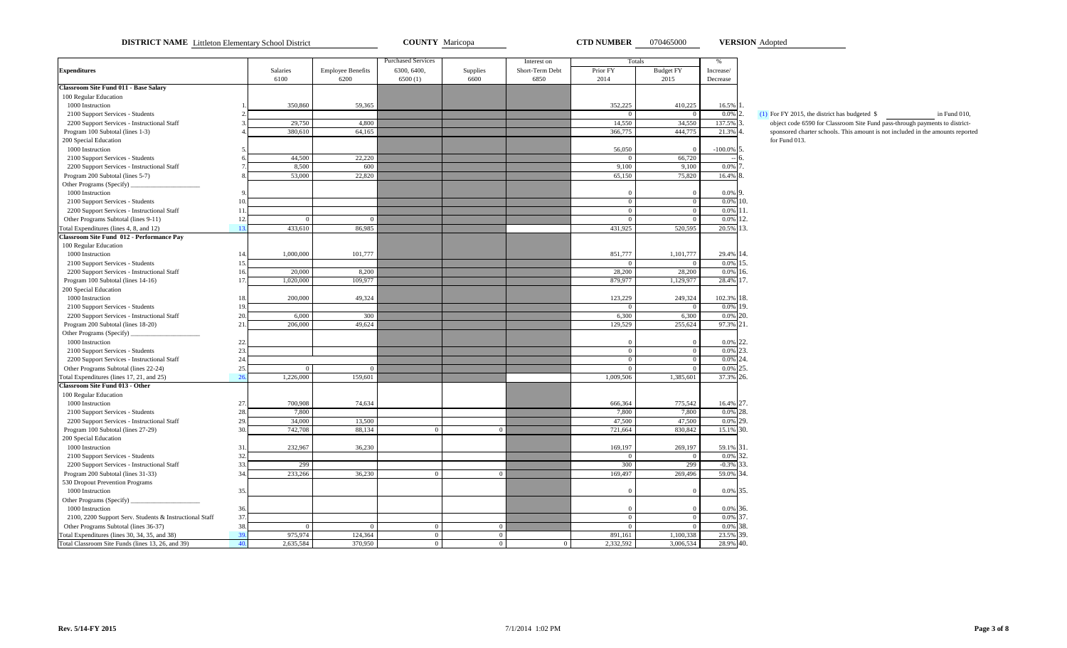**DISTRICT NAME** Littleton Elementary School District **COUNTY** Maricopa **CTD NUMBER** 070465000 **VERSION** Adopted

**VERSION**

|                                                         |     |           |                          | <b>Purchased Services</b> |                | Interest on     | <b>Totals</b>  |                  | %              |                                                                                |
|---------------------------------------------------------|-----|-----------|--------------------------|---------------------------|----------------|-----------------|----------------|------------------|----------------|--------------------------------------------------------------------------------|
| <b>Expenditures</b>                                     |     | Salaries  | <b>Employee Benefits</b> | 6300, 6400,               | Supplies       | Short-Term Debt | Prior FY       | <b>Budget FY</b> | Increase/      |                                                                                |
|                                                         |     | 6100      | 6200                     | 6500(1)                   | 6600           | 6850            | 2014           | 2015             | Decrease       |                                                                                |
| <b>Classroom Site Fund 011 - Base Salary</b>            |     |           |                          |                           |                |                 |                |                  |                |                                                                                |
| 100 Regular Education                                   |     |           |                          |                           |                |                 |                |                  |                |                                                                                |
| 1000 Instruction                                        |     | 350,860   | 59,365                   |                           |                |                 | 352,225        | 410,225          | 16.5%          |                                                                                |
| 2100 Support Services - Students                        |     |           |                          |                           |                |                 |                |                  | $0.0\%$ 2.     | (1) For FY 2015, the district has budgeted $$$<br>in Fund 010,                 |
| 2200 Support Services - Instructional Staff             |     | 29,750    | 4,800                    |                           |                |                 | 14,550         | 34,550           | 137.5%         | object code 6590 for Classroom Site Fund pass-through payments to district-    |
| Program 100 Subtotal (lines 1-3)                        |     | 380,610   | 64,165                   |                           |                |                 | 366,775        | 444,775          | 21.3% 4        | sponsored charter schools. This amount is not included in the amounts reported |
| 200 Special Education                                   |     |           |                          |                           |                |                 |                |                  |                | for Fund 013.                                                                  |
| 1000 Instruction                                        |     |           |                          |                           |                |                 | 56,050         |                  | $-100.0\%$ 5.  |                                                                                |
| 2100 Support Services - Students                        |     | 44,500    | 22,220                   |                           |                |                 | $\overline{0}$ | 66,720           |                |                                                                                |
| 2200 Support Services - Instructional Staff             |     | 8.500     | 600                      |                           |                |                 | 9.100          | 9,100            | $0.0\%$ 7      |                                                                                |
| Program 200 Subtotal (lines 5-7)                        |     | 53,000    | 22,820                   |                           |                |                 | 65,150         | 75,820           | 16.4%          |                                                                                |
| Other Programs (Specify)                                |     |           |                          |                           |                |                 |                |                  |                |                                                                                |
| 1000 Instruction                                        |     |           |                          |                           |                |                 | $\Omega$       |                  | 0.0% 9         |                                                                                |
| 2100 Support Services - Students                        | 10. |           |                          |                           |                |                 | $\overline{0}$ | $\Omega$         | $0.0\%$ 10.    |                                                                                |
| 2200 Support Services - Instructional Staff             | 11  |           |                          |                           |                |                 | $\overline{0}$ |                  | $0.0\%$ 11.    |                                                                                |
| Other Programs Subtotal (lines 9-11)                    | 12. |           |                          |                           |                |                 | $\Omega$       |                  | 0.0%<br>12.    |                                                                                |
| Total Expenditures (lines 4, 8, and 12)                 | 13. | 433,610   | 86,985                   |                           |                |                 | 431,925        | 520,595          | 20.5% 13.      |                                                                                |
| Classroom Site Fund 012 - Performance Pay               |     |           |                          |                           |                |                 |                |                  |                |                                                                                |
| 100 Regular Education                                   |     |           |                          |                           |                |                 |                |                  |                |                                                                                |
| 1000 Instruction                                        | 14. | 1,000,000 | 101,777                  |                           |                |                 | 851,777        | 1,101,777        | 29.4% 14.      |                                                                                |
| 2100 Support Services - Students                        | 15. |           |                          |                           |                |                 | $\Omega$       | $\Omega$         | $0.0\%$ 15.    |                                                                                |
| 2200 Support Services - Instructional Staff             | 16. | 20,000    | 8,200                    |                           |                |                 | 28,200         | 28,200           | 0.0%<br>16.    |                                                                                |
| Program 100 Subtotal (lines 14-16)                      | 17. | 1,020,000 | 109,977                  |                           |                |                 | 879,977        | 1,129,977        | 28.4% 17.      |                                                                                |
|                                                         |     |           |                          |                           |                |                 |                |                  |                |                                                                                |
| 200 Special Education                                   |     |           |                          |                           |                |                 |                |                  |                |                                                                                |
| 1000 Instruction                                        | 18. | 200,000   | 49,324                   |                           |                |                 | 123,229        | 249,324          | 102.3% 18.     |                                                                                |
| 2100 Support Services - Students                        | 19. |           |                          |                           |                |                 | $\overline{0}$ | $\overline{0}$   | 0.0% 19.       |                                                                                |
| 2200 Support Services - Instructional Staff             | 20. | 6.000     | 300                      |                           |                |                 | 6,300          | 6,300            | $0.0\%$ 20.    |                                                                                |
| Program 200 Subtotal (lines 18-20)                      | 21. | 206,000   | 49,624                   |                           |                |                 | 129,529        | 255,624          | 97.3% 21.      |                                                                                |
| Other Programs (Specify)                                |     |           |                          |                           |                |                 |                |                  |                |                                                                                |
| 1000 Instruction                                        | 22. |           |                          |                           |                |                 | $\Omega$       |                  | 0.0% 22.       |                                                                                |
| 2100 Support Services - Students                        | 23. |           |                          |                           |                |                 | $\overline{0}$ | $\Omega$         | 23.<br>0.0%    |                                                                                |
| 2200 Support Services - Instructional Staff             | 24. |           |                          |                           |                |                 | $\overline{0}$ | $\mathbf{0}$     | 0.0% 24.       |                                                                                |
| Other Programs Subtotal (lines 22-24)                   | 25. |           |                          |                           |                |                 | $\Omega$       |                  | 0.0%<br>25.    |                                                                                |
| Fotal Expenditures (lines 17, 21, and 25)               | 26  | 1,226,000 | 159,601                  |                           |                |                 | 1,009,506      | 1,385,601        | 37.3% 26.      |                                                                                |
| <b>Classroom Site Fund 013 - Other</b>                  |     |           |                          |                           |                |                 |                |                  |                |                                                                                |
| 100 Regular Education                                   |     |           |                          |                           |                |                 |                |                  |                |                                                                                |
| 1000 Instruction                                        | 27. | 700,908   | 74,634                   |                           |                |                 | 666,364        | 775,542          | 16.4% 27.      |                                                                                |
| 2100 Support Services - Students                        | 28. | 7,800     |                          |                           |                |                 | 7,800          | 7,800            | 28.<br>0.0%    |                                                                                |
| 2200 Support Services - Instructional Staff             | 29. | 34,000    | 13,500                   |                           |                |                 | 47,500         | 47,500           | 0.0% 29.       |                                                                                |
| Program 100 Subtotal (lines 27-29)                      | 30. | 742,708   | 88,134                   | $\overline{0}$            | $\overline{0}$ |                 | 721,664        | 830,842          | 15.1% 30.      |                                                                                |
| 200 Special Education                                   |     |           |                          |                           |                |                 |                |                  |                |                                                                                |
| 1000 Instruction                                        | 31. | 232,967   | 36,230                   |                           |                |                 | 169,197        | 269,197          | 59.1% 31.      |                                                                                |
| 2100 Support Services - Students                        | 32. |           |                          |                           |                |                 | $\overline{0}$ | $\overline{0}$   | 0.0%<br>32.    |                                                                                |
| 2200 Support Services - Instructional Staff             | 33. | 299       |                          |                           |                |                 | 300            | 299              | 33.<br>$-0.3%$ |                                                                                |
| Program 200 Subtotal (lines 31-33)                      | 34. | 233,266   | 36,230                   | $\Omega$                  | $\Omega$       |                 | 169,497        | 269,496          | 59.0%<br>34.   |                                                                                |
| 530 Dropout Prevention Programs                         |     |           |                          |                           |                |                 |                |                  |                |                                                                                |
| 1000 Instruction                                        | 35. |           |                          |                           |                |                 | $\Omega$       |                  | $0.0\%$ 35.    |                                                                                |
| Other Programs (Specify)                                |     |           |                          |                           |                |                 |                |                  |                |                                                                                |
| 1000 Instruction                                        | 36. |           |                          |                           |                |                 | $\overline{0}$ |                  | 0.0% 36.       |                                                                                |
| 2100, 2200 Support Serv. Students & Instructional Staff | 37. |           |                          |                           |                |                 | $\Omega$       | $\Omega$         | $0.0\%$ 37.    |                                                                                |
| Other Programs Subtotal (lines 36-37)                   | 38. | $\Omega$  |                          | $\overline{0}$            | $\overline{0}$ |                 | $\Omega$       |                  | 0.0%<br>38.    |                                                                                |
| Total Expenditures (lines 30, 34, 35, and 38)           | 39. | 975,974   | 124,364                  | $\overline{0}$            | $\overline{0}$ |                 | 891,161        | 1,100,338        | 23.5% 39.      |                                                                                |
| Total Classroom Site Funds (lines 13, 26, and 39)       | 40. | 2,635,584 | 370,950                  | $\overline{0}$            | $\overline{0}$ | $\bf{0}$        | 2,332,592      | 3,006,534        | 28.9% 40.      |                                                                                |
|                                                         |     |           |                          |                           |                |                 |                |                  |                |                                                                                |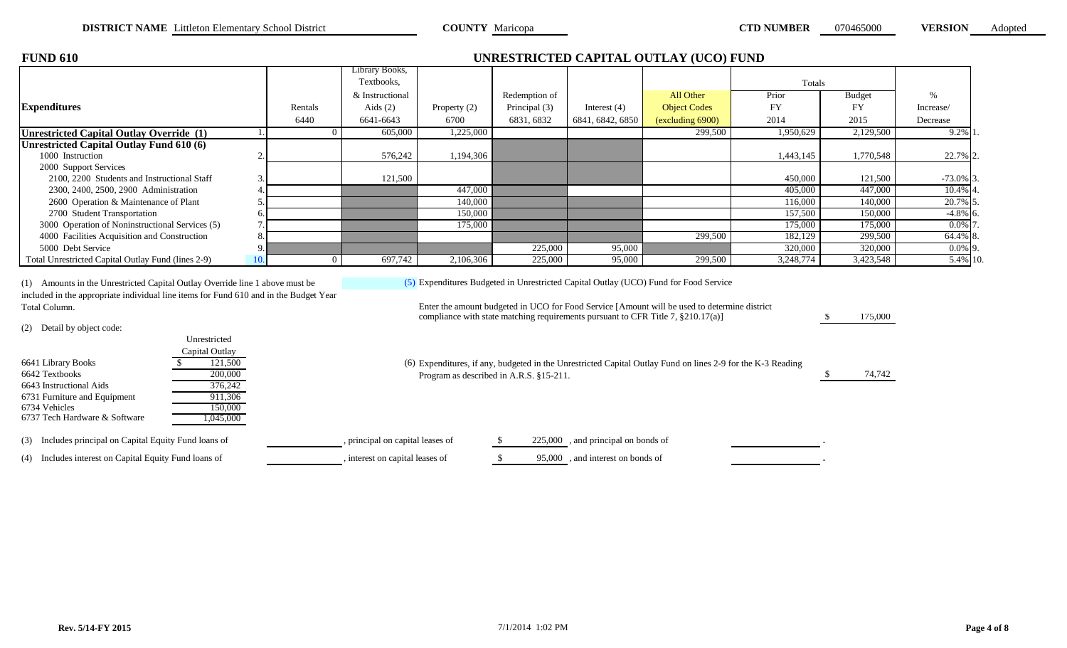| <b>FUND 610</b>                                                                                                                                                       |     |          |                              |                |               |                  | UNRESTRICTED CAPITAL OUTLAY (UCO) FUND                                                       |           |               |               |
|-----------------------------------------------------------------------------------------------------------------------------------------------------------------------|-----|----------|------------------------------|----------------|---------------|------------------|----------------------------------------------------------------------------------------------|-----------|---------------|---------------|
|                                                                                                                                                                       |     |          | Library Books,<br>Textbooks. |                |               |                  |                                                                                              | Totals    |               |               |
|                                                                                                                                                                       |     |          | & Instructional              |                | Redemption of |                  | All Other                                                                                    | Prior     | <b>Budget</b> | $\frac{0}{0}$ |
| <b>Expenditures</b>                                                                                                                                                   |     | Rentals  | Aids $(2)$                   | Property $(2)$ | Principal (3) | Interest $(4)$   | <b>Object Codes</b>                                                                          | <b>FY</b> | FY            | Increase/     |
|                                                                                                                                                                       |     | 6440     | 6641-6643                    | 6700           | 6831, 6832    | 6841, 6842, 6850 | $\left(\frac{\text{excluding}}{\text{6900}}\right)$                                          | 2014      | 2015          | Decrease      |
| Unrestricted Capital Outlay Override (1)                                                                                                                              |     |          | 605,000                      | 1,225,000      |               |                  | 299,500                                                                                      | 1,950,629 | 2,129,500     | $9.2\%$  1    |
| Unrestricted Capital Outlay Fund 610 (6)                                                                                                                              |     |          |                              |                |               |                  |                                                                                              |           |               |               |
| 1000 Instruction                                                                                                                                                      |     |          | 576,242                      | 1,194,306      |               |                  |                                                                                              | 1,443,145 | 1,770,548     | 22.7% 2.      |
| 2000 Support Services                                                                                                                                                 |     |          |                              |                |               |                  |                                                                                              |           |               |               |
| 2100, 2200 Students and Instructional Staff                                                                                                                           |     |          | 121,500                      |                |               |                  |                                                                                              | 450,000   | 121,500       | $-73.0\%$ 3.  |
| 2300, 2400, 2500, 2900 Administration                                                                                                                                 |     |          |                              | 447,000        |               |                  |                                                                                              | 405,000   | 447,000       | 10.4% 4       |
| 2600 Operation & Maintenance of Plant                                                                                                                                 |     |          |                              | 140,000        |               |                  |                                                                                              | 116,000   | 140,000       | 20.7% 5.      |
| 2700 Student Transportation                                                                                                                                           |     |          |                              | 150,000        |               |                  |                                                                                              | 157,500   | 150,000       | $-4.8\%$ 6.   |
| 3000 Operation of Noninstructional Services (5)                                                                                                                       |     |          |                              | 175,000        |               |                  |                                                                                              | 175,000   | 175,000       | $0.0\%$ 7     |
| 4000 Facilities Acquisition and Construction                                                                                                                          |     |          |                              |                |               |                  | 299,500                                                                                      | 182,129   | 299,500       | 64.4% 8.      |
| 5000 Debt Service                                                                                                                                                     |     |          |                              |                | 225,000       | 95,000           |                                                                                              | 320,000   | 320,000       | $0.0\%$ 9.    |
| Total Unrestricted Capital Outlay Fund (lines 2-9)                                                                                                                    | 10. | $\Omega$ | 697,742                      | 2,106,306      | 225,000       | 95,000           | 299,500                                                                                      | 3,248,774 | 3,423,548     | 5.4% 10.      |
| (1) Amounts in the Unrestricted Capital Outlay Override line 1 above must be<br>included in the appropriate individual line items for Fund 610 and in the Budget Year |     |          |                              |                |               |                  | (5) Expenditures Budgeted in Unrestricted Capital Outlay (UCO) Fund for Food Service         |           |               |               |
| Total Column.                                                                                                                                                         |     |          |                              |                |               |                  | Enter the amount budgeted in UCO for Food Service [Amount will be used to determine district |           |               |               |

(2) Detail by object code:

|                                                           | Unrestricted<br>Capital Outlay |                                                                                                                                                        |        |
|-----------------------------------------------------------|--------------------------------|--------------------------------------------------------------------------------------------------------------------------------------------------------|--------|
| 6641 Library Books<br>6642 Textbooks                      | 121,500<br>200,000             | (6) Expenditures, if any, budgeted in the Unrestricted Capital Outlay Fund on lines 2-9 for the K-3 Reading<br>Program as described in A.R.S. §15-211. | 74,742 |
| 6643 Instructional Aids                                   | 376,242                        |                                                                                                                                                        |        |
| 6731 Furniture and Equipment<br>6734 Vehicles             | 911.306<br>150.000             |                                                                                                                                                        |        |
| 6737 Tech Hardware & Software                             | ,045,000                       |                                                                                                                                                        |        |
| Includes principal on Capital Equity Fund loans of<br>(3) |                                | $225,000$ , and principal on bonds of<br>principal on capital leases of                                                                                |        |

| 5) Expenditures, if any, budgeted in the Unrestricted Capital Outlay Fund on lines 2-9 for the K-3 Reading |
|------------------------------------------------------------------------------------------------------------|
| Program as described in A.R.S. §15-211.                                                                    |

compliance with state matching requirements pursuant to CFR Title 7, §210.17(a)]

\$ 175,000

(4) Includes interest on Capital Equity Fund loans of , interest on capital leases of \$ 95,000 , and interest on bonds of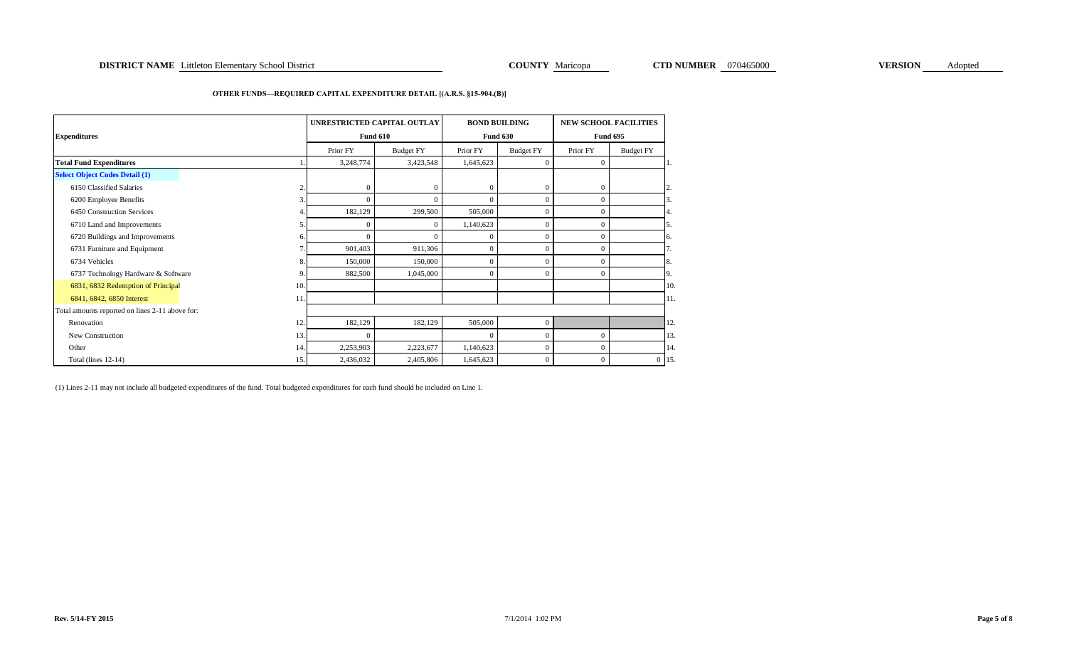### **OTHER FUNDS—REQUIRED CAPITAL EXPENDITURE DETAIL [(A.R.S. §15-904.(B)]**

| <b>Expenditures</b>                             |                | UNRESTRICTED CAPITAL OUTLAY | <b>Fund 610</b>  |           | <b>BOND BUILDING</b><br><b>NEW SCHOOL FACILITIES</b><br><b>Fund 630</b><br><b>Fund 695</b> |                |                  |         |
|-------------------------------------------------|----------------|-----------------------------|------------------|-----------|--------------------------------------------------------------------------------------------|----------------|------------------|---------|
|                                                 |                | Prior FY                    | <b>Budget FY</b> | Prior FY  | <b>Budget FY</b>                                                                           | Prior FY       | <b>Budget FY</b> |         |
| <b>Total Fund Expenditures</b>                  |                | 3,248,774                   | 3,423,548        | 1,645,623 | $\mathbf{0}$                                                                               | $\overline{0}$ |                  |         |
| <b>Select Object Codes Detail (1)</b>           |                |                             |                  |           |                                                                                            |                |                  |         |
| 6150 Classified Salaries                        | $\overline{2}$ | $\mathbf{0}$                | $\overline{0}$   | $\Omega$  | $\Omega$                                                                                   | $\mathbf{0}$   |                  | 2.      |
| 6200 Employee Benefits                          | 3.             | $\Omega$                    | $\Omega$         | $\Omega$  | $\Omega$                                                                                   | $\Omega$       |                  |         |
| 6450 Construction Services                      | 4.             | 182,129                     | 299,500          | 505,000   | $\theta$                                                                                   | $\overline{0}$ |                  | 4.      |
| 6710 Land and Improvements                      | 5.             | $\mathbf{0}$                | $\mathbf{0}$     | 1,140,623 | $\Omega$                                                                                   | $\mathbf{0}$   |                  | 5.      |
| 6720 Buildings and Improvements                 | 6.             | $\Omega$                    | $\Omega$         | $\Omega$  | $\Omega$                                                                                   | $\mathbf{0}$   |                  | 6.      |
| 6731 Furniture and Equipment                    | 7 <sub>1</sub> | 901,403                     | 911,306          | $\Omega$  | $\theta$                                                                                   | $\overline{0}$ |                  | 7.      |
| 6734 Vehicles                                   | 8.             | 150,000                     | 150,000          | $\Omega$  | $\Omega$                                                                                   | $\overline{0}$ |                  | 8.      |
| 6737 Technology Hardware & Software             | 9              | 882,500                     | 1,045,000        | $\theta$  | $\theta$                                                                                   | $\Omega$       |                  | 9.      |
| 6831, 6832 Redemption of Principal              | 10.            |                             |                  |           |                                                                                            |                |                  | 10.     |
| 6841, 6842, 6850 Interest                       | 11             |                             |                  |           |                                                                                            |                |                  | 11.     |
| Total amounts reported on lines 2-11 above for: |                |                             |                  |           |                                                                                            |                |                  |         |
| Renovation                                      | 12             | 182,129                     | 182,129          | 505,000   | $\mathbf{0}$                                                                               |                |                  | 12.     |
| New Construction                                | 13.            | $\mathbf{0}$                |                  | $\Omega$  | 0                                                                                          | $\mathbf{0}$   |                  | 13.     |
| Other                                           | 14.            | 2,253,903                   | 2,223,677        | 1,140,623 | $\Omega$                                                                                   | $\Omega$       |                  | 14.     |
| Total (lines 12-14)                             | 15.            | 2,436,032                   | 2,405,806        | 1,645,623 | $\Omega$                                                                                   | $\overline{0}$ |                  | $0$ 15. |

(1) Lines 2-11 may not include all budgeted expenditures of the fund. Total budgeted expenditures for each fund should be included on Line 1.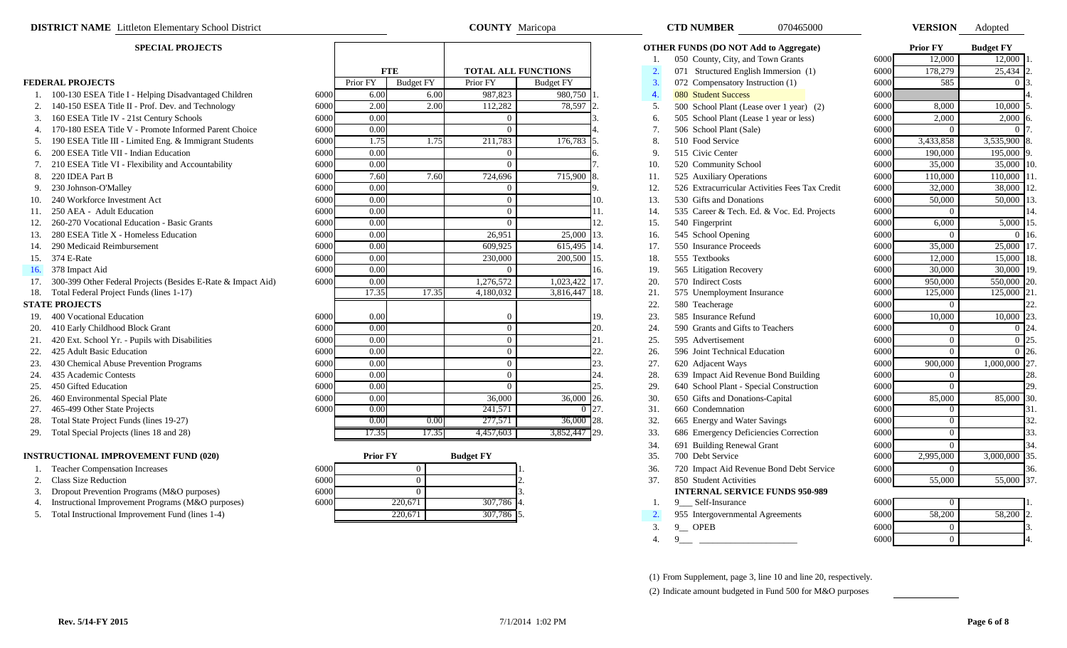| <b>EDERAL PROJECTS</b> |  |
|------------------------|--|
|------------------------|--|

- 1. 100-130 ESEA Title I Helping Disadvantaged Children
- 
- 
- 
- 
- 
- 
- 
- 
- 
- 
- 
- 
- 
- 
- 
- 
- 

- 
- 
- 
- 
- 
- 
- 
- 
- 
- 
- 

### **INSTRUCTIONAL IMPROVEMENT FUND (020)**

- 
- 
- 3. Dropout Prevention Programs (M&O purposes)
- 4. Instructional Improvement Programs (M&O purposes)
- 

|      |          | <b>FTE</b>       | <b>TOTAL ALL FUNCTIONS</b> |                  |
|------|----------|------------------|----------------------------|------------------|
|      | Prior FY | <b>Budget FY</b> | Prior FY                   | <b>Budget FY</b> |
| 6000 | 6.00     | 6.00             | 987,823                    | 980,750          |
| 6000 | 2.00     | 2.00             | 112,282                    | 78,597           |
| 6000 | 0.00     |                  | $\theta$                   |                  |
| 6000 | 0.00     |                  | $\theta$                   |                  |
| 6000 | 1.75     | 1.75             | 211,783                    | 176,783          |
| 6000 | 0.00     |                  | $\theta$                   |                  |
| 6000 | 0.00     |                  | $\theta$                   |                  |
| 6000 | 7.60     | 7.60             | 724,696                    | 715,900          |
| 6000 | 0.00     |                  | $\mathbf{0}$               |                  |
| 6000 | 0.00     |                  | $\overline{0}$             |                  |
| 6000 | 0.00     |                  | $\overline{0}$             |                  |
| 6000 | 0.00     |                  | $\theta$                   |                  |
| 6000 | 0.00     |                  | 26,951                     | 25,000           |
| 6000 | 0.00     |                  | 609,925                    | 615,495          |
| 6000 | 0.00     |                  | 230,000                    | 200,500          |
| 6000 | 0.00     |                  | $\Omega$                   |                  |
| 6000 | 0.00     |                  | 1,276,572                  | 1,023,422        |
|      | 17.35    | 17.35            | 4,180,032                  | 3,816,447        |
| 6000 | 0.00     |                  | $\overline{0}$             |                  |
| 6000 | 0.00     |                  | $\overline{0}$             |                  |
| 6000 | 0.00     |                  | $\overline{0}$             |                  |
| 6000 | 0.00     |                  | $\overline{0}$             |                  |
| 6000 | 0.00     |                  | $\theta$                   |                  |
| 6000 | 0.00     |                  | $\overline{0}$             |                  |
| 6000 | 0.00     |                  | $\overline{0}$             |                  |
| 6000 | 0.00     |                  | 36,000                     | 36,000           |
| 6000 | 0.00     |                  | 241,571                    | $\Omega$         |
|      | 0.00     | 0.00             | 277,571                    | 36,000           |
|      | 17.35    | 17.35            | 4.457.603                  | 3,852,447        |

|      | <b>Prior FY</b> | <b>Budget FY</b> |     |
|------|-----------------|------------------|-----|
| 6000 |                 |                  |     |
| 6000 |                 |                  |     |
| 6000 |                 |                  |     |
| 6000 | 220,671         | 307,786          | 4.  |
|      | 220,671         | 307,786          | 15. |

| <b>DISTRICT NAME</b> Littleton Elementary School District |                                                                  |      | <b>COUNTY</b> Maricopa |                  |                            |                  | <b>CTD NUMBER</b> |                                                | <b>VERSION</b> | Adopted |                 |                  |     |
|-----------------------------------------------------------|------------------------------------------------------------------|------|------------------------|------------------|----------------------------|------------------|-------------------|------------------------------------------------|----------------|---------|-----------------|------------------|-----|
|                                                           | <b>SPECIAL PROJECTS</b>                                          |      |                        |                  |                            |                  |                   | <b>OTHER FUNDS (DO NOT Add to Aggregate)</b>   |                |         | <b>Prior FY</b> | <b>Budget FY</b> |     |
|                                                           |                                                                  |      |                        |                  |                            |                  | 1.                | 050 County, City, and Town Grants              |                | 6000    | 12,000          | 12,000           |     |
|                                                           |                                                                  |      | <b>FTE</b>             |                  | <b>TOTAL ALL FUNCTIONS</b> |                  | 2.                | 071 Structured English Immersion (1)           |                | 6000    | 178,279         | 25,434 2         |     |
|                                                           | <b>FEDERAL PROJECTS</b>                                          |      | Prior FY               | <b>Budget FY</b> | Prior FY                   | <b>Budget FY</b> | 3.                | 072 Compensatory Instruction (1)               |                | 6000    | 585             | $\Omega$         |     |
|                                                           | 1. 100-130 ESEA Title I - Helping Disadvantaged Children         | 6000 | 6.00                   | 6.00             | 987,823                    | 980,750          | 4.                | <b>080 Student Success</b>                     |                | 6000    |                 |                  |     |
|                                                           | 2. 140-150 ESEA Title II - Prof. Dev. and Technology             | 6000 | 2.00                   | 2.00             | 112,282                    | 78,597           | 5.                | 500 School Plant (Lease over 1 year) (2)       |                | 6000    | 8.000           | 10,000           |     |
| 3.                                                        | 160 ESEA Title IV - 21st Century Schools                         | 6000 | 0.00                   |                  | $\Omega$                   |                  | 6.                | 505 School Plant (Lease 1 year or less)        |                | 6000    | 2,000           | 2,000            |     |
|                                                           | 4. 170-180 ESEA Title V - Promote Informed Parent Choice         | 6000 | 0.00                   |                  | $\Omega$                   |                  | 7.                | 506 School Plant (Sale)                        |                | 6000    | $\theta$        | $\Omega$         |     |
|                                                           | 5. 190 ESEA Title III - Limited Eng. & Immigrant Students        | 6000 | 1.75                   | 1.75             | 211,783                    | 176,783          | 8.                | 510 Food Service                               |                | 6000    | 3,433,858       | 3,535,900        |     |
|                                                           | 200 ESEA Title VII - Indian Education                            | 6000 | 0.00                   |                  | $\Omega$                   |                  | 9.                | 515 Civic Center                               |                | 6000    | 190,000         | 195,000 9        |     |
|                                                           | 7. 210 ESEA Title VI - Flexibility and Accountability            | 6000 | 0.00                   |                  | $\sqrt{ }$                 |                  | 10.               | 520 Community School                           |                | 6000    | 35,000          | 35,000           |     |
|                                                           | 8. 220 IDEA Part B                                               | 6000 | 7.60                   | 7.60             | 724,696                    | 715,900          | 11.               | 525 Auxiliary Operations                       |                | 6000    | 110,000         | 110,000          |     |
| 9.                                                        | 230 Johnson-O'Malley                                             | 6000 | 0.00                   |                  | $\Omega$                   |                  | 12.               | 526 Extracurricular Activities Fees Tax Credit |                | 6000    | 32,000          | 38,000           |     |
| 10.                                                       | 240 Workforce Investment Act                                     | 6000 | 0.00                   |                  | $\Omega$                   | 10.              | 13.               | 530 Gifts and Donations                        |                | 6000    | 50,000          | 50,000           |     |
|                                                           | 11. 250 AEA - Adult Education                                    | 6000 | 0.00                   |                  | $\Omega$                   | 11.              | 14.               | 535 Career & Tech. Ed. & Voc. Ed. Projects     |                | 6000    | $\overline{0}$  |                  |     |
| 12.                                                       | 260-270 Vocational Education - Basic Grants                      | 6000 | 0.00                   |                  | $\Omega$                   | 12.              | 15.               | 540 Fingerprint                                |                | 6000    | 6,000           | $5,000$ 15.      |     |
| 13.                                                       | 280 ESEA Title X - Homeless Education                            | 6000 | 0.00                   |                  | 26.951                     | 25,000<br>13.    | 16.               | 545 School Opening                             |                | 6000    | $\theta$        | 0.16             |     |
|                                                           | 14. 290 Medicaid Reimbursement                                   | 6000 | 0.00                   |                  | 609,925                    | 615,495<br>14.   | 17.               | 550 Insurance Proceeds                         |                | 6000    | 35,000          | 25,000           |     |
|                                                           | 15. 374 E-Rate                                                   | 6000 | 0.00                   |                  | 230,000                    | 200,500<br>15.   | 18.               | 555 Textbooks                                  |                | 6000    | 12,000          | 15,000 18.       |     |
|                                                           | 16. 378 Impact Aid                                               | 6000 | 0.00                   |                  |                            | 16.              | 19.               | 565 Litigation Recovery                        |                | 6000    | 30,000          | 30,000           |     |
|                                                           | 17. 300-399 Other Federal Projects (Besides E-Rate & Impact Aid) | 6000 | 0.00                   |                  | 1,276,572                  | $1,023,422$ 17.  | 20.               | 570 Indirect Costs                             |                | 6000    | 950,000         | 550,000          | 20  |
|                                                           | 18. Total Federal Project Funds (lines 1-17)                     |      | 17.35                  | 17.35            | 4,180,032                  | 3,816,447<br>18. | 21.               | 575 Unemployment Insurance                     |                | 6000    | 125,000         | $125,000$ 21.    |     |
|                                                           | <b>STATE PROJECTS</b>                                            |      |                        |                  |                            |                  | 22.               | 580 Teacherage                                 |                | 6000    | $\overline{0}$  |                  | 22. |
|                                                           | 19. 400 Vocational Education                                     | 6000 | 0.00                   |                  | $\sqrt{ }$                 | 19.              | 23.               | 585 Insurance Refund                           |                | 6000    | 10,000          | 10,000           | 23. |
|                                                           | 20. 410 Early Childhood Block Grant                              | 6000 | 0.00                   |                  | $\Omega$                   | 20.              | 24.               | 590 Grants and Gifts to Teachers               |                | 6000    | $\overline{0}$  | 0 24             |     |
|                                                           | 21. 420 Ext. School Yr. - Pupils with Disabilities               | 6000 | 0.00                   |                  | $\Omega$                   | 21.              | 25.               | 595 Advertisement                              |                | 6000    | $\overline{0}$  | $0\,25$          |     |
| 22.                                                       | 425 Adult Basic Education                                        | 6000 | 0.00                   |                  | $\Omega$                   | 22.              | 26.               | 596 Joint Technical Education                  |                | 6000    | $\mathbf{0}$    | $0\vert 26$      |     |
| 23.                                                       | 430 Chemical Abuse Prevention Programs                           | 6000 | 0.00                   |                  | $\Omega$                   | 23.              | 27.               | 620 Adjacent Ways                              |                | 6000    | 900,000         | $1,000,000$ 27.  |     |
| 24.                                                       | 435 Academic Contests                                            | 6000 | 0.00                   |                  | $\Omega$                   | 24.              | 28.               | 639 Impact Aid Revenue Bond Building           |                | 6000    | $\overline{0}$  |                  | 28. |
|                                                           | 25. 450 Gifted Education                                         | 6000 | 0.00                   |                  | $\sqrt{ }$                 | 25.              | 29.               | 640 School Plant - Special Construction        |                | 6000    | $\overline{0}$  |                  | 29. |
| 26.                                                       | 460 Environmental Special Plate                                  | 6000 | 0.00                   |                  | 36,000                     | 36,000<br>26.    | 30.               | 650 Gifts and Donations-Capital                |                | 6000    | 85,000          | 85,000 30.       |     |
|                                                           | 27. 465-499 Other State Projects                                 | 6000 | 0.00                   |                  | 241,571                    | 27.<br>$\Omega$  | 31.               | 660 Condemnation                               |                | 6000    | $\overline{0}$  |                  | 31. |
| 28.                                                       | Total State Project Funds (lines 19-27)                          |      | 0.00                   | 0.00             | 277,571                    | 36,000<br>28.    | 32.               | 665 Energy and Water Savings                   |                | 6000    | $\overline{0}$  |                  | 32. |
|                                                           | 29. Total Special Projects (lines 18 and 28)                     |      | 17.35                  | 17.35            | 4,457,603                  | $3,852,447$ 29.  | 33.               | 686 Emergency Deficiencies Correction          |                | 6000    | $\overline{0}$  |                  | 33. |
|                                                           |                                                                  |      |                        |                  |                            |                  | 34.               | 691 Building Renewal Grant                     |                | 6000    | $\theta$        |                  | 34. |
|                                                           | <b>INSTRUCTIONAL IMPROVEMENT FUND (020)</b>                      |      | <b>Prior FY</b>        |                  | <b>Budget FY</b>           |                  | 35.               | 700 Debt Service                               |                | 6000    | 2,995,000       | 3,000,000 35.    |     |
|                                                           | 1. Teacher Compensation Increases                                | 6000 |                        | $\overline{0}$   |                            |                  | 36.               | 720 Impact Aid Revenue Bond Debt Service       |                | 6000    | $\overline{0}$  |                  | 36. |
|                                                           | 2. Class Size Reduction                                          | 6000 |                        | $\overline{0}$   |                            |                  | 37.               | 850 Student Activities                         |                | 6000    | 55,000          | 55,000 37.       |     |
| 3.                                                        | Dropout Prevention Programs (M&O purposes)                       | 6000 |                        | $\Omega$         |                            |                  |                   | <b>INTERNAL SERVICE FUNDS 950-989</b>          |                |         |                 |                  |     |
|                                                           | Instructional Improvement Programs (M&O purposes)                | 6000 |                        | 220,671          | 307,786                    |                  |                   | 9_Self-Insurance                               |                | 6000    | $\overline{0}$  |                  |     |
|                                                           | 5. Total Instructional Improvement Fund (lines 1-4)              |      |                        | 220,671          | 307,786                    |                  | 2.                | 955 Intergovernmental Agreements               |                | 6000    | 58,200          | 58,200 2.        |     |
|                                                           |                                                                  |      |                        |                  |                            |                  | 3.                | 9 OPEB                                         |                | 6000    | $\overline{0}$  |                  |     |
|                                                           |                                                                  |      |                        |                  |                            |                  | 4.                | 9                                              |                | 6000    | $\overline{0}$  |                  |     |

(1) From Supplement, page 3, line 10 and line 20, respectively. (2) Indicate amount budgeted in Fund 500 for M&O purposes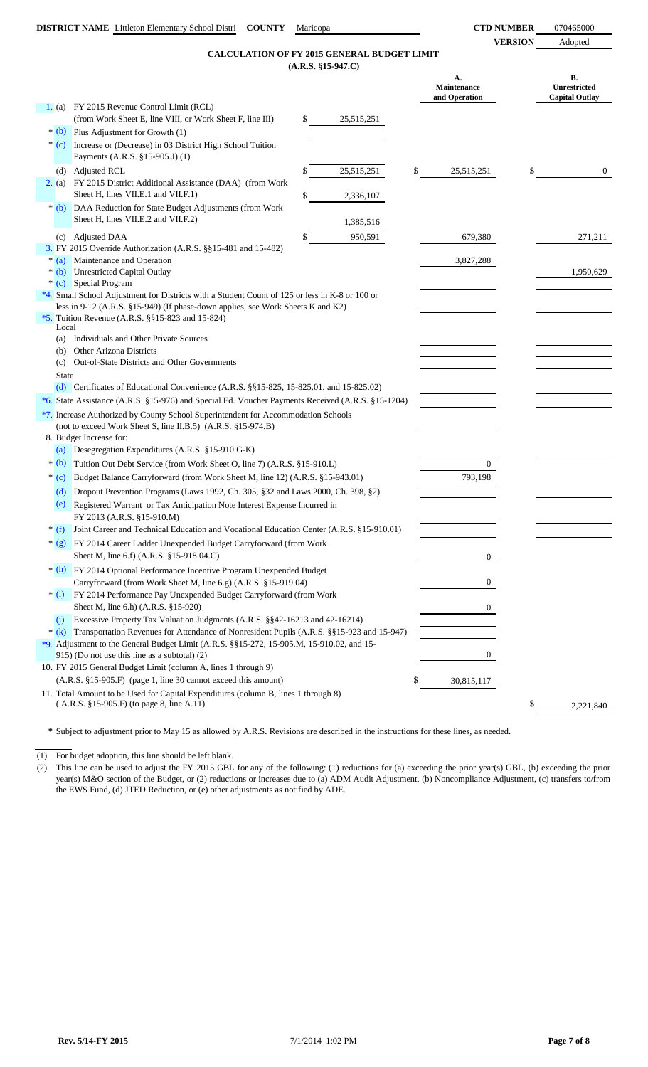### **(A.R.S. §15-947.C) CALCULATION OF FY 2015 GENERAL BUDGET LIMIT**

|   |              | <b>CALCULATION OF FY 2015 GENERAL BUDGET LIMIT</b>                                                                                                |                      |                                    |                                      |
|---|--------------|---------------------------------------------------------------------------------------------------------------------------------------------------|----------------------|------------------------------------|--------------------------------------|
|   |              |                                                                                                                                                   | $(A.R.S. §15-947.C)$ | А.<br>Maintenance<br>and Operation | В.<br>Unrestricted<br>Capital Outlay |
|   |              | 1. (a) FY 2015 Revenue Control Limit (RCL)                                                                                                        |                      |                                    |                                      |
|   |              | (from Work Sheet E, line VIII, or Work Sheet F, line III)                                                                                         | \$<br>25,515,251     |                                    |                                      |
|   |              | $*(b)$ Plus Adjustment for Growth (1)                                                                                                             |                      |                                    |                                      |
|   |              | * (c) Increase or (Decrease) in 03 District High School Tuition<br>Payments (A.R.S. §15-905.J) (1)                                                |                      |                                    |                                      |
|   |              | (d) Adjusted RCL                                                                                                                                  | \$<br>25,515,251     | \$<br>25,515,251                   | \$<br>$\overline{0}$                 |
|   | 2. (a)       | FY 2015 District Additional Assistance (DAA) (from Work<br>Sheet H, lines VII.E.1 and VII.F.1)                                                    | \$<br>2,336,107      |                                    |                                      |
|   |              | * (b) DAA Reduction for State Budget Adjustments (from Work<br>Sheet H, lines VII.E.2 and VII.F.2)                                                | 1,385,516            |                                    |                                      |
|   |              | (c) Adjusted DAA                                                                                                                                  | \$<br>950,591        | 679,380                            | 271,211                              |
|   |              | 3. FY 2015 Override Authorization (A.R.S. §§15-481 and 15-482)                                                                                    |                      |                                    |                                      |
|   |              | * (a) Maintenance and Operation                                                                                                                   |                      | 3,827,288                          |                                      |
|   | $*(b)$       | Unrestricted Capital Outlay                                                                                                                       |                      |                                    | 1,950,629                            |
|   |              | * (c) Special Program                                                                                                                             |                      |                                    |                                      |
|   |              | *4. Small School Adjustment for Districts with a Student Count of 125 or less in K-8 or 100 or                                                    |                      |                                    |                                      |
|   |              | less in 9-12 (A.R.S. §15-949) (If phase-down applies, see Work Sheets K and K2)<br>*5. Tuition Revenue (A.R.S. $\S$ §15-823 and 15-824)           |                      |                                    |                                      |
|   | Local        |                                                                                                                                                   |                      |                                    |                                      |
|   | (a)          | Individuals and Other Private Sources                                                                                                             |                      |                                    |                                      |
|   | (b)          | Other Arizona Districts                                                                                                                           |                      |                                    |                                      |
|   |              | (c) Out-of-State Districts and Other Governments                                                                                                  |                      |                                    |                                      |
|   | <b>State</b> |                                                                                                                                                   |                      |                                    |                                      |
|   |              | (d) Certificates of Educational Convenience $(A.R.S. \$ § 15-825, 15-825.01, and 15-825.02)                                                       |                      |                                    |                                      |
|   |              | *6. State Assistance (A.R.S. §15-976) and Special Ed. Voucher Payments Received (A.R.S. §15-1204)                                                 |                      |                                    |                                      |
|   |              | *7. Increase Authorized by County School Superintendent for Accommodation Schools<br>(not to exceed Work Sheet S, line II.B.5) (A.R.S. §15-974.B) |                      |                                    |                                      |
|   |              | 8. Budget Increase for:                                                                                                                           |                      |                                    |                                      |
|   |              | (a) Desegregation Expenditures (A.R.S. §15-910.G-K)                                                                                               |                      |                                    |                                      |
|   | $*(b)$       | Tuition Out Debt Service (from Work Sheet O, line 7) (A.R.S. §15-910.L)                                                                           |                      | $\overline{0}$                     |                                      |
|   | $*(c)$       | Budget Balance Carryforward (from Work Sheet M, line 12) (A.R.S. §15-943.01)                                                                      |                      | 793,198                            |                                      |
|   | (d)          | Dropout Prevention Programs (Laws 1992, Ch. 305, §32 and Laws 2000, Ch. 398, §2)                                                                  |                      |                                    |                                      |
|   | (e)          | Registered Warrant or Tax Anticipation Note Interest Expense Incurred in<br>FY 2013 (A.R.S. §15-910.M)                                            |                      |                                    |                                      |
| ∗ | (f)          | Joint Career and Technical Education and Vocational Education Center (A.R.S. §15-910.01)                                                          |                      |                                    |                                      |
|   |              | * (g) FY 2014 Career Ladder Unexpended Budget Carryforward (from Work                                                                             |                      |                                    |                                      |
|   |              | Sheet M, line 6.f) (A.R.S. §15-918.04.C)                                                                                                          |                      | $\mathbf{0}$                       |                                      |
|   |              | * (h) FY 2014 Optional Performance Incentive Program Unexpended Budget                                                                            |                      |                                    |                                      |
|   | $*$ (i)      | Carryforward (from Work Sheet M, line 6.g) (A.R.S. §15-919.04)<br>FY 2014 Performance Pay Unexpended Budget Carryforward (from Work               |                      | $\mathbf{0}$                       |                                      |
|   |              | Sheet M, line 6.h) (A.R.S. §15-920)                                                                                                               |                      | 0                                  |                                      |
|   | (i)          | Excessive Property Tax Valuation Judgments (A.R.S. §§42-16213 and 42-16214)                                                                       |                      |                                    |                                      |
|   | $*(k)$       | Transportation Revenues for Attendance of Nonresident Pupils (A.R.S. §§15-923 and 15-947)                                                         |                      |                                    |                                      |
|   |              | *9. Adjustment to the General Budget Limit (A.R.S. $\S$ §15-272, 15-905.M, 15-910.02, and 15-                                                     |                      |                                    |                                      |
|   |              | 915) (Do not use this line as a subtotal) (2)                                                                                                     |                      | 0                                  |                                      |
|   |              | 10. FY 2015 General Budget Limit (column A, lines 1 through 9)                                                                                    |                      |                                    |                                      |
|   |              | (A.R.S. §15-905.F) (page 1, line 30 cannot exceed this amount)                                                                                    |                      | 30,815,117                         |                                      |
|   |              | 11. Total Amount to be Used for Capital Expenditures (column B, lines 1 through 8)                                                                |                      |                                    |                                      |
|   |              | $(A.R.S. §15-905.F)$ (to page 8, line A.11)                                                                                                       |                      |                                    | \$<br>2,221,840                      |
|   |              |                                                                                                                                                   |                      |                                    |                                      |

**\*** Subject to adjustment prior to May 15 as allowed by A.R.S. Revisions are described in the instructions for these lines, as needed.

(1) For budget adoption, this line should be left blank.

(2) This line can be used to adjust the FY 2015 GBL for any of the following: (1) reductions for (a) exceeding the prior year(s) GBL, (b) exceeding the prior year(s) M&O section of the Budget, or (2) reductions or increases due to (a) ADM Audit Adjustment, (b) Noncompliance Adjustment, (c) transfers to/from the EWS Fund, (d) JTED Reduction, or (e) other adjustments as notified by ADE.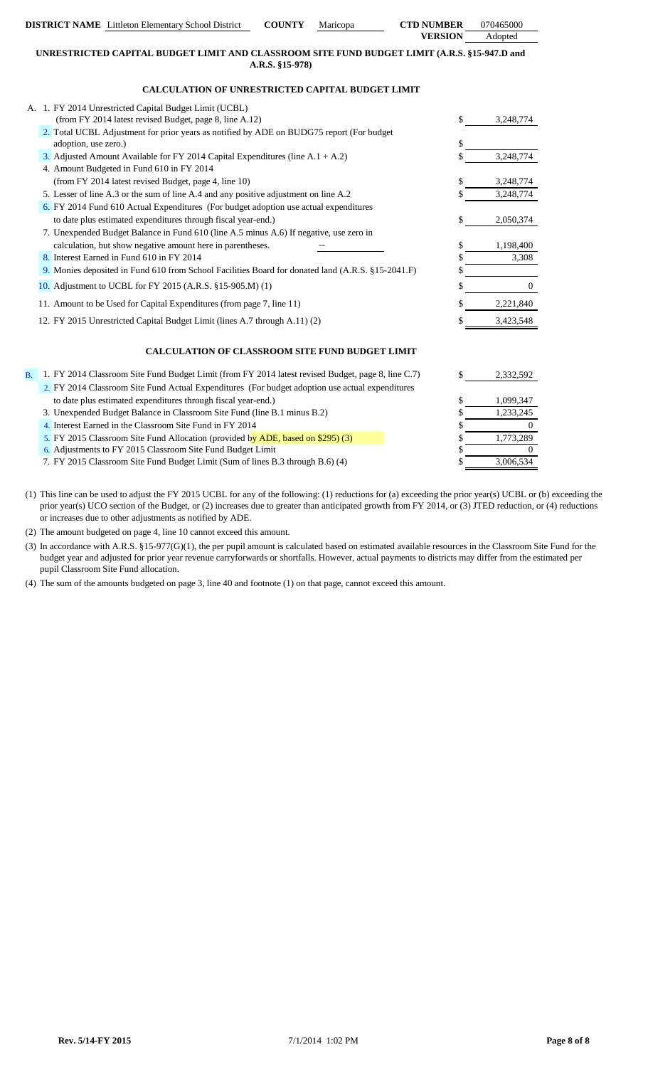|                | <b>DISTRICT NAME</b> Littleton Elementary School District                                                        | <b>COUNTY</b>   | Maricopa | <b>CTD NUMBER</b> | 070465000    |
|----------------|------------------------------------------------------------------------------------------------------------------|-----------------|----------|-------------------|--------------|
|                |                                                                                                                  |                 |          | <b>VERSION</b>    | Adopted      |
|                | UNRESTRICTED CAPITAL BUDGET LIMIT AND CLASSROOM SITE FUND BUDGET LIMIT (A.R.S. §15-947.D and                     |                 |          |                   |              |
|                |                                                                                                                  | A.R.S. §15-978) |          |                   |              |
|                | CALCULATION OF UNRESTRICTED CAPITAL BUDGET LIMIT                                                                 |                 |          |                   |              |
|                | A. 1. FY 2014 Unrestricted Capital Budget Limit (UCBL)                                                           |                 |          |                   |              |
|                | (from FY 2014 latest revised Budget, page 8, line A.12)                                                          |                 |          | \$                | 3,248,774    |
|                | 2. Total UCBL Adjustment for prior years as notified by ADE on BUDG75 report (For budget<br>adoption, use zero.) |                 |          | \$                |              |
|                | 3. Adjusted Amount Available for FY 2014 Capital Expenditures (line $A.1 + A.2$ )                                |                 |          |                   | 3,248,774    |
|                | 4. Amount Budgeted in Fund 610 in FY 2014                                                                        |                 |          |                   |              |
|                | (from FY 2014 latest revised Budget, page 4, line 10)                                                            |                 |          | \$                | 3,248,774    |
|                | 5. Lesser of line A.3 or the sum of line A.4 and any positive adjustment on line A.2                             |                 |          |                   | 3,248,774    |
|                | 6. FY 2014 Fund 610 Actual Expenditures (For budget adoption use actual expenditures                             |                 |          |                   |              |
|                | to date plus estimated expenditures through fiscal year-end.)                                                    |                 |          | \$                | 2,050,374    |
|                | 7. Unexpended Budget Balance in Fund 610 (line A.5 minus A.6) If negative, use zero in                           |                 |          |                   |              |
|                | calculation, but show negative amount here in parentheses.                                                       |                 |          | \$                | 1,198,400    |
|                | 8. Interest Earned in Fund 610 in FY 2014                                                                        |                 |          | \$                | 3,308        |
|                | 9. Monies deposited in Fund 610 from School Facilities Board for donated land (A.R.S. §15-2041.F)                |                 |          |                   |              |
|                | 10. Adjustment to UCBL for FY 2015 (A.R.S. §15-905.M) (1)                                                        |                 |          | \$                | $\mathbf{0}$ |
|                | 11. Amount to be Used for Capital Expenditures (from page 7, line 11)                                            |                 |          |                   | 2,221,840    |
|                | 12. FY 2015 Unrestricted Capital Budget Limit (lines A.7 through A.11) (2)                                       |                 |          |                   | 3,423,548    |
|                | <b>CALCULATION OF CLASSROOM SITE FUND BUDGET LIMIT</b>                                                           |                 |          |                   |              |
| B <sub>1</sub> | 1. FY 2014 Classroom Site Fund Budget Limit (from FY 2014 latest revised Budget, page 8, line C.7)               |                 |          | \$                | 2,332,592    |
|                | 2. FY 2014 Classroom Site Fund Actual Expenditures (For budget adoption use actual expenditures                  |                 |          |                   |              |
|                | to date plus estimated expenditures through fiscal year-end.)                                                    |                 |          | \$                | 1,099,347    |
|                | 3. Unexpended Budget Balance in Classroom Site Fund (line B.1 minus B.2)                                         |                 |          | \$                | 1,233,245    |
|                | 4. Interest Earned in the Classroom Site Fund in FY 2014                                                         |                 |          | S                 | 0            |
|                | $\Gamma V$ 0015.01 01 $\Gamma$ 1.411 $\Gamma$ (1.11 $\Gamma$ DE 1.1 $\Gamma$ 006) (0)                            |                 |          |                   | 1.772.000    |

5. FY 2015 Classroom Site Fund Allocation (provided by ADE, based on \$295) (3)

6. \$ 0 Adjustments to FY 2015 Classroom Site Fund Budget Limit

7. FY 2015 Classroom Site Fund Budget Limit (Sum of lines B.3 through B.6) (4) \$ 3,006

(1) This line can be used to adjust the FY 2015 UCBL for any of the following: (1) reductions for (a) exceeding the prior year(s) UCBL or (b) exceeding the prior year(s) UCO section of the Budget, or (2) increases due to greater than anticipated growth from FY 2014, or (3) JTED reduction, or (4) reductions or increases due to other adjustments as notified by ADE.

(2) The amount budgeted on page 4, line 10 cannot exceed this amount.

(3) In accordance with A.R.S. §15-977(G)(1), the per pupil amount is calculated based on estimated available resources in the Classroom Site Fund for the budget year and adjusted for prior year revenue carryforwards or shortfalls. However, actual payments to districts may differ from the estimated per pupil Classroom Site Fund allocation.

(4) The sum of the amounts budgeted on page 3, line 40 and footnote (1) on that page, cannot exceed this amount.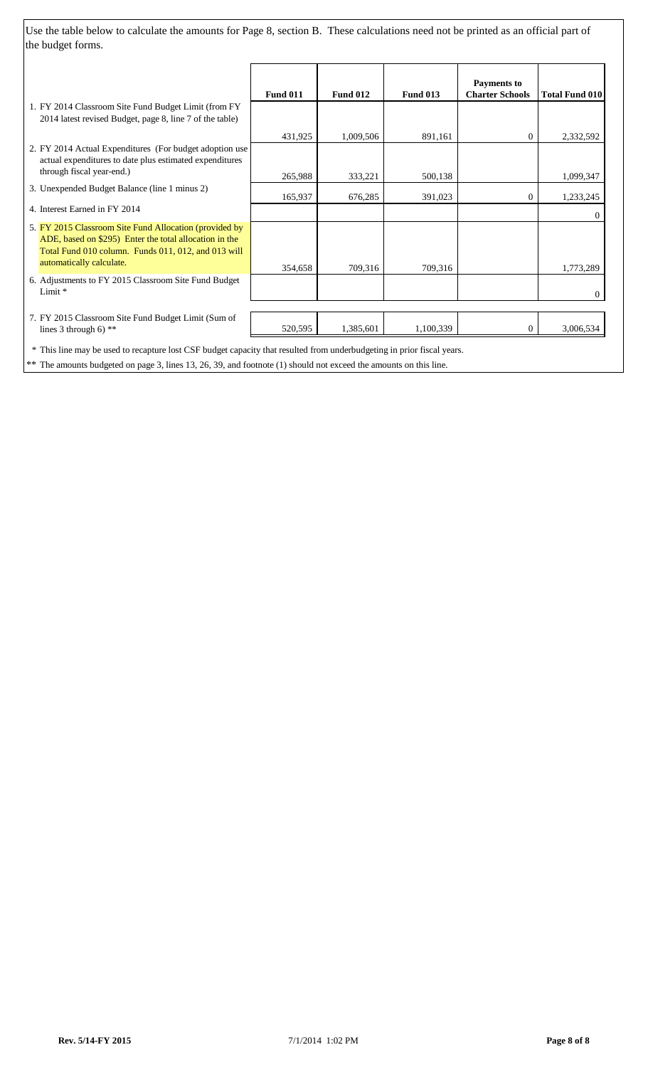Use the table below to calculate the amounts for Page 8, section B. These calculations need not be printed as an official part of the budget forms.

|                                                                                                                                                                                                     | <b>Fund 011</b> | <b>Fund 012</b> | <b>Fund 013</b> | <b>Payments to</b><br><b>Charter Schools</b> | <b>Total Fund 010</b> |
|-----------------------------------------------------------------------------------------------------------------------------------------------------------------------------------------------------|-----------------|-----------------|-----------------|----------------------------------------------|-----------------------|
| 1. FY 2014 Classroom Site Fund Budget Limit (from FY<br>2014 latest revised Budget, page 8, line 7 of the table)                                                                                    |                 |                 |                 |                                              |                       |
|                                                                                                                                                                                                     | 431,925         | 1,009,506       | 891,161         | $\overline{0}$                               | 2,332,592             |
| 2. FY 2014 Actual Expenditures (For budget adoption use<br>actual expenditures to date plus estimated expenditures                                                                                  |                 |                 |                 |                                              |                       |
| through fiscal year-end.)                                                                                                                                                                           | 265,988         | 333,221         | 500,138         |                                              | 1,099,347             |
| 3. Unexpended Budget Balance (line 1 minus 2)                                                                                                                                                       | 165,937         | 676,285         | 391,023         | $\overline{0}$                               | 1,233,245             |
| 4. Interest Earned in FY 2014                                                                                                                                                                       |                 |                 |                 |                                              | $\Omega$              |
| 5. FY 2015 Classroom Site Fund Allocation (provided by<br>ADE, based on \$295) Enter the total allocation in the<br>Total Fund 010 column. Funds 011, 012, and 013 will<br>automatically calculate. | 354,658         | 709,316         | 709,316         |                                              | 1,773,289             |
| 6. Adjustments to FY 2015 Classroom Site Fund Budget<br>Limit *                                                                                                                                     |                 |                 |                 |                                              | $\Omega$              |
| 7. FY 2015 Classroom Site Fund Budget Limit (Sum of<br>lines 3 through 6) $**$                                                                                                                      | 520,595         | 1,385,601       | 1,100,339       | $\overline{0}$                               | 3,006,534             |
| * This line may be used to recapture lost CSF budget capacity that resulted from underbudgeting in prior fiscal years.                                                                              |                 |                 |                 |                                              |                       |

\*\* The amounts budgeted on page 3, lines 13, 26, 39, and footnote (1) should not exceed the amounts on this line.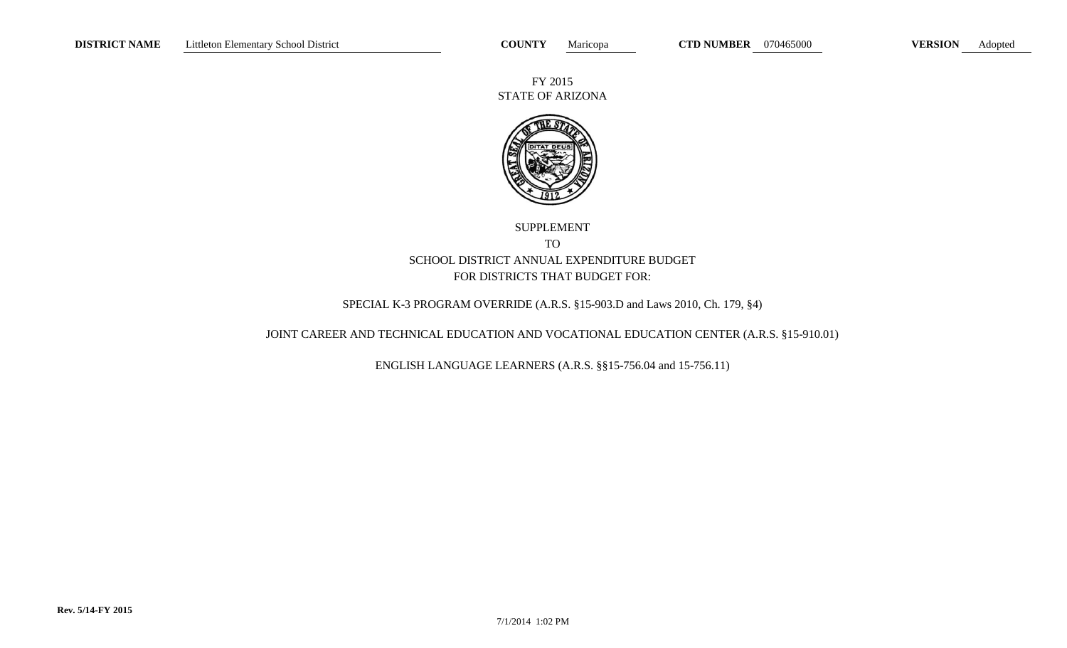FY 2015 STATE OF ARIZONA



# SUPPLEMENT TO SCHOOL DISTRICT ANNUAL EXPENDITURE BUDGET FOR DISTRICTS THAT BUDGET FOR:

# SPECIAL K-3 PROGRAM OVERRIDE (A.R.S. §15-903.D and Laws 2010, Ch. 179, §4)

# JOINT CAREER AND TECHNICAL EDUCATION AND VOCATIONAL EDUCATION CENTER (A.R.S. §15-910.01)

ENGLISH LANGUAGE LEARNERS (A.R.S. §§15-756.04 and 15-756.11)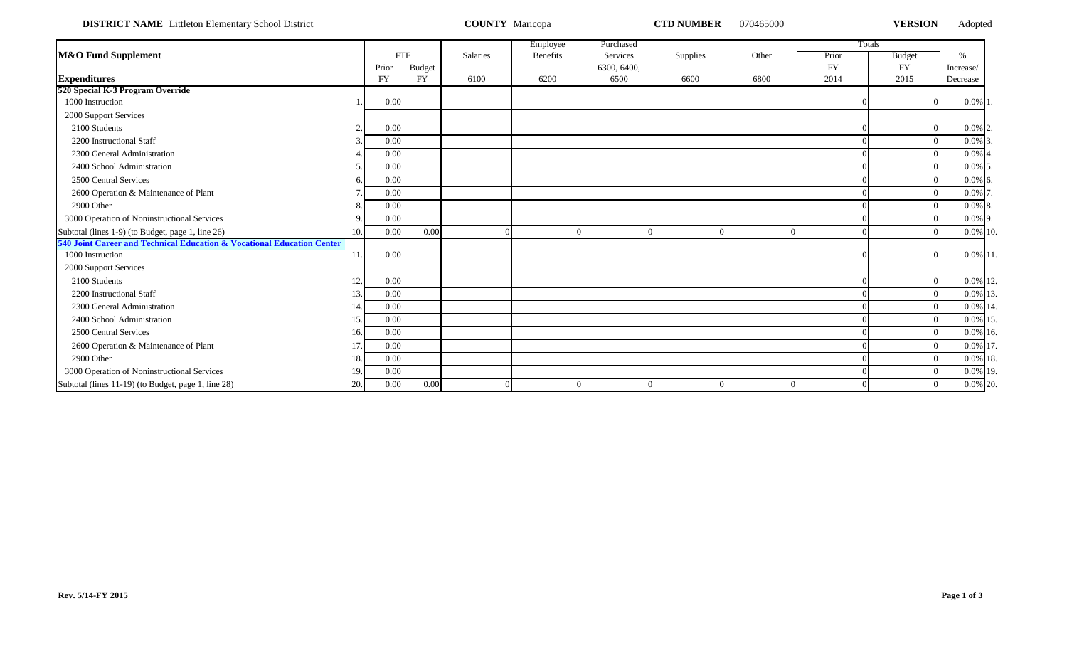**DISTRICT NAME** Littleton Elementary School District **COUNTY Maricopa COUNTY Maricopa CTD NUMBER** 070465000 **VERSION** Adopted

|                                                                        |     |           |               |          | Employee        | Purchased   |          |          |           | Totals        |             |  |
|------------------------------------------------------------------------|-----|-----------|---------------|----------|-----------------|-------------|----------|----------|-----------|---------------|-------------|--|
| <b>M&amp;O Fund Supplement</b>                                         |     |           | <b>FTE</b>    | Salaries | <b>Benefits</b> | Services    | Supplies | Other    | Prior     | <b>Budget</b> | $\%$        |  |
|                                                                        |     | Prior     | <b>Budget</b> |          |                 | 6300, 6400, |          |          | <b>FY</b> | <b>FY</b>     | Increase/   |  |
| <b>Expenditures</b>                                                    |     | <b>FY</b> | <b>FY</b>     | 6100     | 6200            | 6500        | 6600     | 6800     | 2014      | 2015          | Decrease    |  |
| 520 Special K-3 Program Override                                       |     |           |               |          |                 |             |          |          |           |               |             |  |
| 1000 Instruction                                                       |     | 0.00      |               |          |                 |             |          |          |           |               | $0.0\%$ 1.  |  |
| 2000 Support Services                                                  |     |           |               |          |                 |             |          |          |           |               |             |  |
| 2100 Students                                                          |     | 0.00      |               |          |                 |             |          |          |           |               | $0.0\%$ 2.  |  |
| 2200 Instructional Staff                                               |     | 0.00      |               |          |                 |             |          |          |           |               | $0.0\%$ 3.  |  |
| 2300 General Administration                                            |     | 0.00      |               |          |                 |             |          |          |           |               | $0.0\%$ 4.  |  |
| 2400 School Administration                                             |     | 0.00      |               |          |                 |             |          |          |           |               | $0.0\%$ 5.  |  |
| 2500 Central Services                                                  |     | 0.00      |               |          |                 |             |          |          |           |               | $0.0\%$ 6.  |  |
| 2600 Operation & Maintenance of Plant                                  |     | 0.00      |               |          |                 |             |          |          |           |               | $0.0\%$ 7.  |  |
| 2900 Other                                                             |     | 0.00      |               |          |                 |             |          |          |           |               | $0.0\%$ 8.  |  |
| 3000 Operation of Noninstructional Services                            |     | 0.00      |               |          |                 |             |          |          |           |               | $0.0\%$ 9.  |  |
| Subtotal (lines 1-9) (to Budget, page 1, line 26)                      | 10. | 0.00      | 0.00          |          |                 |             |          | $\Omega$ |           |               | 0.0% 10.    |  |
| 540 Joint Career and Technical Education & Vocational Education Center |     |           |               |          |                 |             |          |          |           |               |             |  |
| 1000 Instruction                                                       | 11. | 0.00      |               |          |                 |             |          |          |           |               | $0.0\%$ 11. |  |
| 2000 Support Services                                                  |     |           |               |          |                 |             |          |          |           |               |             |  |
| 2100 Students                                                          | 12. | 0.00      |               |          |                 |             |          |          |           |               | 0.0% 12.    |  |
| 2200 Instructional Staff                                               | 13. | 0.00      |               |          |                 |             |          |          |           |               | 0.0% 13.    |  |
| 2300 General Administration                                            | 14. | 0.00      |               |          |                 |             |          |          |           |               | 0.0% 14.    |  |
| 2400 School Administration                                             | 15. | 0.00      |               |          |                 |             |          |          |           |               | 0.0% 15.    |  |
| 2500 Central Services                                                  | 16. | 0.00      |               |          |                 |             |          |          |           |               | $0.0\%$ 16. |  |
| 2600 Operation & Maintenance of Plant                                  | 17. | 0.00      |               |          |                 |             |          |          |           |               | 0.0% 17.    |  |
| 2900 Other                                                             | 18. | 0.00      |               |          |                 |             |          |          |           |               | 0.0% 18.    |  |
| 3000 Operation of Noninstructional Services                            | 19. | 0.00      |               |          |                 |             |          |          |           |               | 0.0% 19.    |  |
| Subtotal (lines 11-19) (to Budget, page 1, line 28)                    | 20. | 0.00      | 0.00          |          |                 |             |          | $\Omega$ |           |               | 0.0% 20.    |  |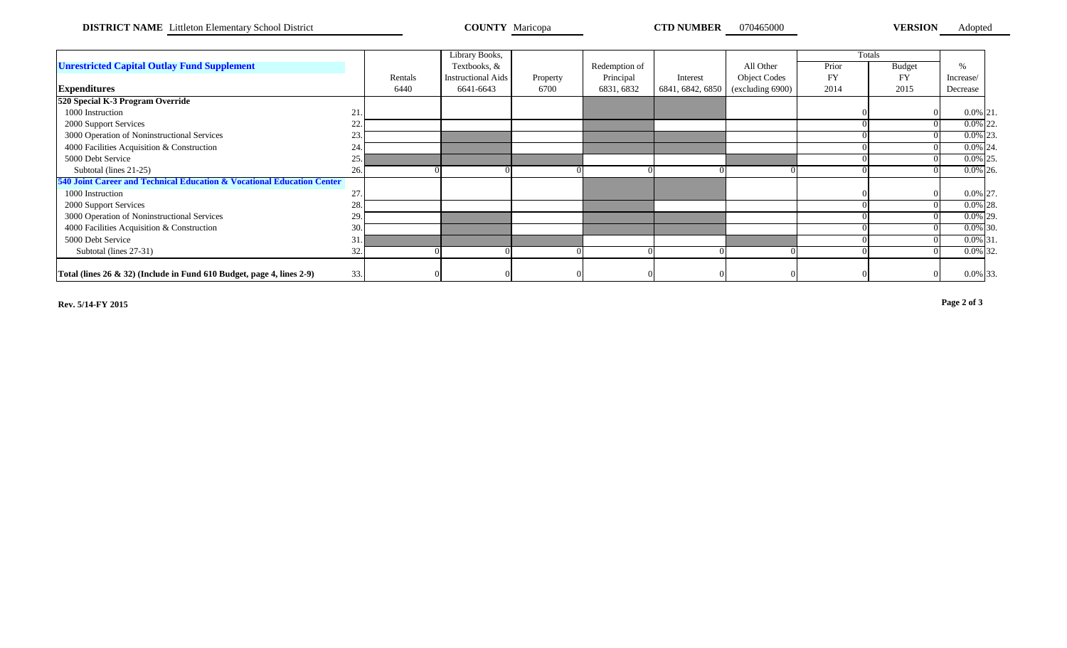**DISTRICT NAME** Littleton Elementary School District **COUNTY Maricopa COUNTY Maricopa CTD NUMBER** 070465000 **VERSION** 

Adopted

|                                                                                |     |         | Library Books,            |          |               |                  |                     |           | Totals        |             |  |
|--------------------------------------------------------------------------------|-----|---------|---------------------------|----------|---------------|------------------|---------------------|-----------|---------------|-------------|--|
| <b>Unrestricted Capital Outlay Fund Supplement</b>                             |     |         | Textbooks, &              |          | Redemption of |                  | All Other           | Prior     | <b>Budget</b> | $\%$        |  |
|                                                                                |     | Rentals | <b>Instructional Aids</b> | Property | Principal     | Interest         | <b>Object Codes</b> | <b>FY</b> | <b>FY</b>     | Increase/   |  |
| <b>Expenditures</b>                                                            |     | 6440    | 6641-6643                 | 6700     | 6831, 6832    | 6841, 6842, 6850 | (excluding 6900)    | 2014      | 2015          | Decrease    |  |
| 520 Special K-3 Program Override                                               |     |         |                           |          |               |                  |                     |           |               |             |  |
| 1000 Instruction                                                               | 21. |         |                           |          |               |                  |                     |           |               | $0.0\%$ 21. |  |
| 2000 Support Services                                                          | 22. |         |                           |          |               |                  |                     |           |               | $0.0\%$ 22. |  |
| 3000 Operation of Noninstructional Services                                    | 23. |         |                           |          |               |                  |                     |           |               | $0.0\%$ 23. |  |
| 4000 Facilities Acquisition & Construction                                     | 24. |         |                           |          |               |                  |                     |           |               | $0.0\%$ 24. |  |
| 5000 Debt Service                                                              | 25. |         |                           |          |               |                  |                     |           |               | $0.0\%$ 25. |  |
| Subtotal (lines 21-25)                                                         | 26. |         |                           |          |               |                  |                     |           |               | $0.0\%$ 26. |  |
| 540 Joint Career and Technical Education & Vocational Education Center         |     |         |                           |          |               |                  |                     |           |               |             |  |
| 1000 Instruction                                                               | 27. |         |                           |          |               |                  |                     |           |               | 0.0% 27.    |  |
| 2000 Support Services                                                          | 28. |         |                           |          |               |                  |                     |           |               | $0.0\%$ 28. |  |
| 3000 Operation of Noninstructional Services                                    | 29. |         |                           |          |               |                  |                     |           |               | $0.0\%$ 29. |  |
| 4000 Facilities Acquisition & Construction                                     | 30. |         |                           |          |               |                  |                     |           |               | $0.0\%$ 30. |  |
| 5000 Debt Service                                                              | 31. |         |                           |          |               |                  |                     |           |               | $0.0\%$ 31. |  |
| Subtotal (lines 27-31)                                                         | 32. |         |                           |          |               |                  |                     |           |               | $0.0\%$ 32. |  |
|                                                                                |     |         |                           |          |               |                  |                     |           |               |             |  |
| Total (lines $26 \& 32$ ) (Include in Fund $610$ Budget, page 4, lines $2-9$ ) | 33. |         |                           |          |               |                  |                     |           |               | 0.0% 33.    |  |

**Rev. 5/14-FY 2015 Page 2 of 3**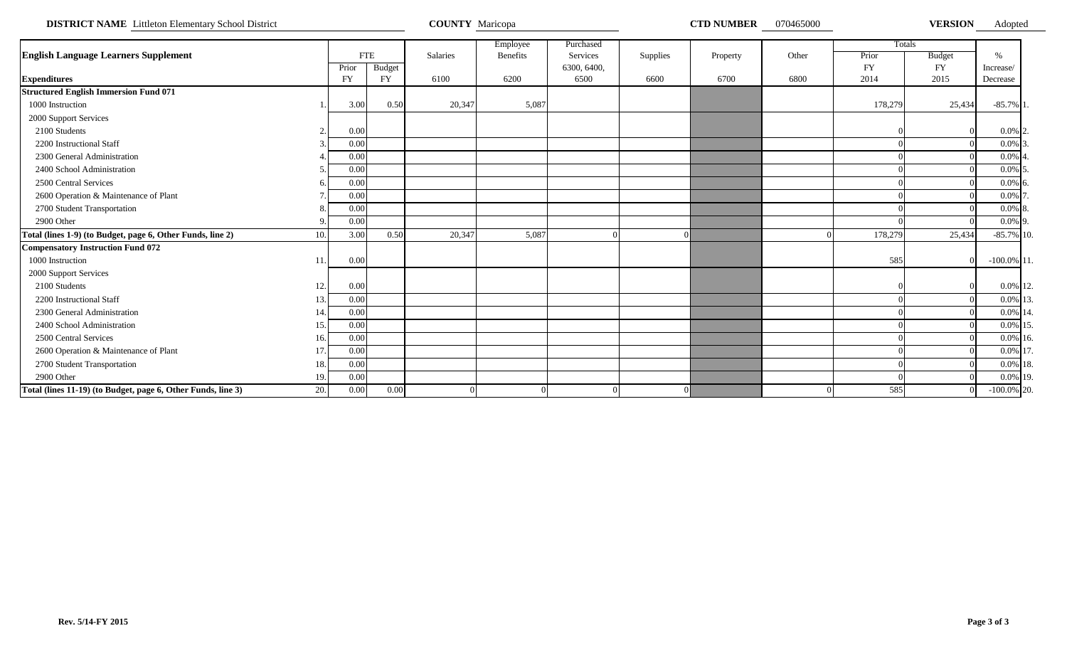**DISTRICT NAME** Littleton Elementary School District **COUNTY Maricopa COUNTY Maricopa COUNTY MARICON COUNTY MARICOPA** 

Adopted

|                                                                     |           |               |                 | Employee | Purchased   |          |          |       |           | Totals        |                |  |
|---------------------------------------------------------------------|-----------|---------------|-----------------|----------|-------------|----------|----------|-------|-----------|---------------|----------------|--|
| <b>English Language Learners Supplement</b>                         |           | <b>FTE</b>    | <b>Salaries</b> | Benefits | Services    | Supplies | Property | Other | Prior     | <b>Budget</b> | $\frac{0}{6}$  |  |
|                                                                     | Prior     | <b>Budget</b> |                 |          | 6300, 6400, |          |          |       | <b>FY</b> | <b>FY</b>     | Increase/      |  |
| <b>Expenditures</b>                                                 | <b>FY</b> | <b>FY</b>     | 6100            | 6200     | 6500        | 6600     | 6700     | 6800  | 2014      | 2015          | Decrease       |  |
| <b>Structured English Immersion Fund 071</b>                        |           |               |                 |          |             |          |          |       |           |               |                |  |
| 1000 Instruction                                                    | 3.00      | 0.50          | 20,347          | 5,087    |             |          |          |       | 178,279   | 25,434        | $-85.7\%$ 1    |  |
| 2000 Support Services                                               |           |               |                 |          |             |          |          |       |           |               |                |  |
| 2100 Students<br>$\bigcap$                                          | 0.00      |               |                 |          |             |          |          |       |           |               | $0.0\%$ 2.     |  |
| 2200 Instructional Staff                                            | 0.00      |               |                 |          |             |          |          |       |           |               | $0.0\%$ 3      |  |
| 2300 General Administration                                         | 0.00      |               |                 |          |             |          |          |       |           |               | $0.0\%$        |  |
| 2400 School Administration                                          | 0.00      |               |                 |          |             |          |          |       |           |               | $0.0\%$ 5      |  |
| 2500 Central Services                                               | 0.00      |               |                 |          |             |          |          |       |           |               | $0.0\%$ 6      |  |
| 2600 Operation & Maintenance of Plant                               | 0.00      |               |                 |          |             |          |          |       |           |               | $0.0\%$ 7      |  |
| 2700 Student Transportation                                         | 0.00      |               |                 |          |             |          |          |       |           |               | $0.0\%$ 8      |  |
| 2900 Other                                                          | 0.00      |               |                 |          |             |          |          |       |           |               | $0.0\%$ 9.     |  |
| Total (lines 1-9) (to Budget, page 6, Other Funds, line 2)<br>10.   | 3.00      | 0.50          | 20,347          | 5,087    |             |          |          |       | 178,279   | 25,434        | $-85.7\%$ 10.  |  |
| <b>Compensatory Instruction Fund 072</b>                            |           |               |                 |          |             |          |          |       |           |               |                |  |
| 1000 Instruction                                                    | 0.00      |               |                 |          |             |          |          |       | 585       |               | $-100.0\%$ 11. |  |
| 2000 Support Services                                               |           |               |                 |          |             |          |          |       |           |               |                |  |
| 2100 Students<br>12.                                                | 0.00      |               |                 |          |             |          |          |       |           |               | 0.0% 12.       |  |
| 2200 Instructional Staff<br>13                                      | 0.00      |               |                 |          |             |          |          |       |           |               | 0.0% 13        |  |
| 2300 General Administration<br>14                                   | 0.00      |               |                 |          |             |          |          |       |           |               | $0.0\%$ 14     |  |
| 2400 School Administration<br>15.                                   | 0.00      |               |                 |          |             |          |          |       |           |               | 0.0% 15        |  |
| 2500 Central Services<br>16.                                        | 0.00      |               |                 |          |             |          |          |       |           |               | 0.0% 16.       |  |
| 2600 Operation & Maintenance of Plant<br>17                         | 0.00      |               |                 |          |             |          |          |       |           |               | 0.0% 17        |  |
| 2700 Student Transportation<br>18.                                  | 0.00      |               |                 |          |             |          |          |       |           |               | 0.0% 18.       |  |
| 2900 Other<br>19.                                                   | 0.00      |               |                 |          |             |          |          |       |           |               | 0.0% 19.       |  |
| Total (lines 11-19) (to Budget, page 6, Other Funds, line 3)<br>20. | 0.00      | 0.00          |                 |          |             |          |          |       | 585       |               | $-100.0\%$ 20. |  |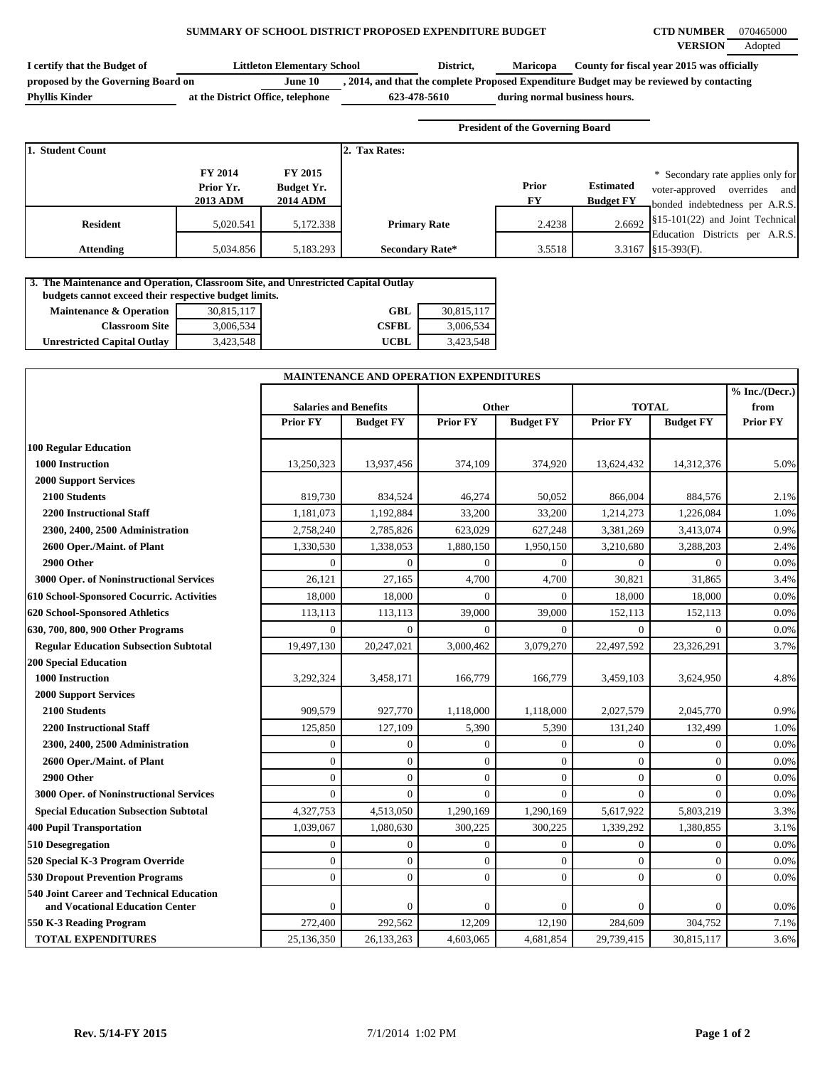### **SUMMARY OF SCHOOL DISTRICT PROPOSED EXPENDITURE BUDGET CTD NUMBER** 070465000

| I certify that the Budget of       | Littleton Elementarv School       |              | District, | <b>Maricopa</b>               | County for fiscal year 2015 was officially                                              |
|------------------------------------|-----------------------------------|--------------|-----------|-------------------------------|-----------------------------------------------------------------------------------------|
| proposed by the Governing Board on | June 10                           |              |           |                               | , 2014, and that the complete Proposed Expenditure Budget may be reviewed by contacting |
| <b>Phyllis Kinder</b>              | at the District Office, telephone | 623-478-5610 |           | during normal business hours. |                                                                                         |

**President of the Governing Board**

| 1. Student Count |                                                |                                                 | 2. Tax Rates:          |             |                                      |                                                                                                           |
|------------------|------------------------------------------------|-------------------------------------------------|------------------------|-------------|--------------------------------------|-----------------------------------------------------------------------------------------------------------|
|                  | <b>FY 2014</b><br>Prior Yr.<br><b>2013 ADM</b> | FY 2015<br><b>Budget Yr.</b><br><b>2014 ADM</b> |                        | Prior<br>FY | <b>Estimated</b><br><b>Budget FY</b> | * Secondary rate applies only for<br>and<br>overrides<br>voter-approved<br>bonded indebtedness per A.R.S. |
| <b>Resident</b>  | 5,020.541                                      | 5,172.338                                       | <b>Primary Rate</b>    | 2.4238      |                                      | $2.6692$ \\$15-101(22) and Joint Technical<br>Education Districts per A.R.S.                              |
| <b>Attending</b> | 5.034.856                                      | 5,183.293                                       | <b>Secondary Rate*</b> | 3.5518      |                                      | $3.3167$ \\$15-393(F).                                                                                    |

| 3. The Maintenance and Operation, Classroom Site, and Unrestricted Capital Outlay |            |              |            |  |  |  |  |  |  |  |  |  |
|-----------------------------------------------------------------------------------|------------|--------------|------------|--|--|--|--|--|--|--|--|--|
| budgets cannot exceed their respective budget limits.                             |            |              |            |  |  |  |  |  |  |  |  |  |
| <b>Maintenance &amp; Operation</b>                                                | 30,815,117 | GBL          | 30,815,117 |  |  |  |  |  |  |  |  |  |
| <b>Classroom Site</b>                                                             | 3,006,534  | <b>CSFBL</b> | 3.006.534  |  |  |  |  |  |  |  |  |  |
| <b>Unrestricted Capital Outlay</b>                                                | 3.423.548  | UCBL         | 3.423.548  |  |  |  |  |  |  |  |  |  |

|                                                                                    | MAINTENANCE AND OPERATION EXPENDITURES |                  |                 |                  |                 |                  |                          |
|------------------------------------------------------------------------------------|----------------------------------------|------------------|-----------------|------------------|-----------------|------------------|--------------------------|
|                                                                                    | <b>Salaries and Benefits</b>           |                  | Other           |                  | <b>TOTAL</b>    |                  | % Inc. / (Decr.)<br>from |
|                                                                                    | <b>Prior FY</b>                        | <b>Budget FY</b> | <b>Prior FY</b> | <b>Budget FY</b> | <b>Prior FY</b> | <b>Budget FY</b> | <b>Prior FY</b>          |
| <b>100 Regular Education</b>                                                       |                                        |                  |                 |                  |                 |                  |                          |
| <b>1000 Instruction</b>                                                            | 13,250,323                             | 13,937,456       | 374,109         | 374,920          | 13,624,432      | 14,312,376       | 5.0%                     |
| <b>2000 Support Services</b>                                                       |                                        |                  |                 |                  |                 |                  |                          |
| 2100 Students                                                                      | 819,730                                | 834,524          | 46,274          | 50,052           | 866,004         | 884,576          | 2.1%                     |
| <b>2200 Instructional Staff</b>                                                    | 1,181,073                              | 1,192,884        | 33,200          | 33,200           | 1,214,273       | 1,226,084        | 1.0%                     |
| 2300, 2400, 2500 Administration                                                    | 2,758,240                              | 2,785,826        | 623,029         | 627,248          | 3,381,269       | 3,413,074        | 0.9%                     |
| 2600 Oper./Maint. of Plant                                                         | 1,330,530                              | 1,338,053        | 1,880,150       | 1,950,150        | 3,210,680       | 3,288,203        | 2.4%                     |
| 2900 Other                                                                         | $\Omega$                               | $\Omega$         | $\Omega$        | $\Omega$         | $\Omega$        | $\Omega$         | 0.0%                     |
| 3000 Oper. of Noninstructional Services                                            | 26,121                                 | 27,165           | 4,700           | 4,700            | 30,821          | 31,865           | 3.4%                     |
| 610 School-Sponsored Cocurric. Activities                                          | 18,000                                 | 18.000           | $\theta$        | $\Omega$         | 18,000          | 18.000           | 0.0%                     |
| 620 School-Sponsored Athletics                                                     | 113,113                                | 113,113          | 39,000          | 39,000           | 152,113         | 152,113          | 0.0%                     |
| 630, 700, 800, 900 Other Programs                                                  | $\Omega$                               | $\Omega$         | $\Omega$        | $\Omega$         | $\Omega$        | $\Omega$         | 0.0%                     |
| <b>Regular Education Subsection Subtotal</b>                                       | 19,497,130                             | 20,247,021       | 3,000,462       | 3,079,270        | 22,497,592      | 23,326,291       | 3.7%                     |
| <b>200 Special Education</b>                                                       |                                        |                  |                 |                  |                 |                  |                          |
| 1000 Instruction                                                                   | 3,292,324                              | 3,458,171        | 166,779         | 166,779          | 3,459,103       | 3,624,950        | 4.8%                     |
| <b>2000 Support Services</b>                                                       |                                        |                  |                 |                  |                 |                  |                          |
| 2100 Students                                                                      | 909,579                                | 927,770          | 1,118,000       | 1,118,000        | 2,027,579       | 2,045,770        | 0.9%                     |
| <b>2200 Instructional Staff</b>                                                    | 125,850                                | 127,109          | 5,390           | 5,390            | 131,240         | 132,499          | 1.0%                     |
| 2300, 2400, 2500 Administration                                                    | $\mathbf{0}$                           | $\mathbf{0}$     | $\mathbf{0}$    | $\overline{0}$   | $\theta$        | $\mathbf{0}$     | 0.0%                     |
| 2600 Oper./Maint. of Plant                                                         | $\theta$                               | $\mathbf{0}$     | $\mathbf{0}$    | $\overline{0}$   | $\theta$        | $\theta$         | 0.0%                     |
| 2900 Other                                                                         | $\overline{0}$                         | $\overline{0}$   | $\mathbf{0}$    | $\overline{0}$   | $\overline{0}$  | $\overline{0}$   | 0.0%                     |
| 3000 Oper. of Noninstructional Services                                            | $\Omega$                               | $\Omega$         | $\theta$        | $\Omega$         | $\theta$        | $\Omega$         | 0.0%                     |
| <b>Special Education Subsection Subtotal</b>                                       | 4,327,753                              | 4,513,050        | 1,290,169       | 1,290,169        | 5,617,922       | 5,803,219        | 3.3%                     |
| <b>400 Pupil Transportation</b>                                                    | 1,039,067                              | 1,080,630        | 300,225         | 300,225          | 1,339,292       | 1,380,855        | 3.1%                     |
| 510 Desegregation                                                                  | $\overline{0}$                         | $\mathbf{0}$     | $\mathbf{0}$    | $\boldsymbol{0}$ | $\overline{0}$  | $\overline{0}$   | 0.0%                     |
| 520 Special K-3 Program Override                                                   | $\mathbf{0}$                           | $\mathbf{0}$     | $\mathbf{0}$    | $\overline{0}$   | $\overline{0}$  | $\overline{0}$   | 0.0%                     |
| <b>530 Dropout Prevention Programs</b>                                             | $\overline{0}$                         | $\overline{0}$   | $\mathbf{0}$    | $\overline{0}$   | $\overline{0}$  | $\overline{0}$   | 0.0%                     |
| <b>540 Joint Career and Technical Education</b><br>and Vocational Education Center | $\Omega$                               | $\mathbf{0}$     | $\mathbf{0}$    | $\mathbf{0}$     | $\theta$        | $\theta$         | 0.0%                     |
| 550 K-3 Reading Program                                                            | 272,400                                | 292,562          | 12,209          | 12,190           | 284,609         | 304,752          | 7.1%                     |
| <b>TOTAL EXPENDITURES</b>                                                          | 25,136,350                             | 26,133,263       | 4,603,065       | 4,681,854        | 29,739,415      | 30,815,117       | 3.6%                     |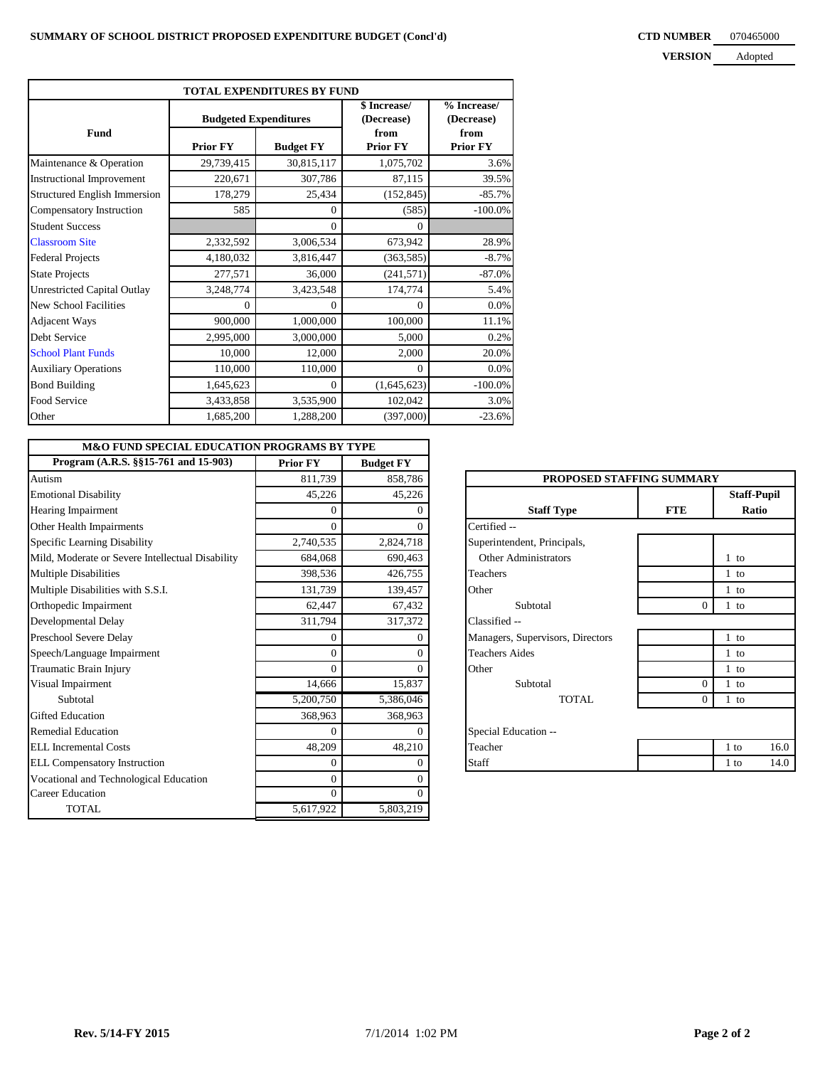### **CTD NUMBER** 070465000 **VERSION**

| <b>VERSION</b> | Adopted |
|----------------|---------|
|                |         |

| TOTAL EXPENDITURES BY FUND         |                              |                  |                            |                           |  |  |  |
|------------------------------------|------------------------------|------------------|----------------------------|---------------------------|--|--|--|
|                                    | <b>Budgeted Expenditures</b> |                  | \$ Increase/<br>(Decrease) | % Increase/<br>(Decrease) |  |  |  |
| <b>Fund</b>                        | <b>Prior FY</b>              | <b>Budget FY</b> | from<br><b>Prior FY</b>    | from<br><b>Prior FY</b>   |  |  |  |
| Maintenance & Operation            | 29,739,415                   | 30,815,117       | 1,075,702                  | 3.6%                      |  |  |  |
| <b>Instructional Improvement</b>   | 220,671                      | 307,786          | 87,115                     | 39.5%                     |  |  |  |
| Structured English Immersion       | 178,279                      | 25,434           | (152, 845)                 | $-85.7%$                  |  |  |  |
| Compensatory Instruction           | 585                          | 0                | (585)                      | $-100.0\%$                |  |  |  |
| <b>Student Success</b>             |                              | $\theta$         | $\Omega$                   |                           |  |  |  |
| <b>Classroom Site</b>              | 2,332,592                    | 3,006,534        | 673,942                    | 28.9%                     |  |  |  |
| <b>Federal Projects</b>            | 4,180,032                    | 3,816,447        | (363, 585)                 | $-8.7\%$                  |  |  |  |
| <b>State Projects</b>              | 277,571                      | 36,000           | (241, 571)                 | $-87.0%$                  |  |  |  |
| <b>Unrestricted Capital Outlay</b> | 3,248,774                    | 3,423,548        | 174,774                    | 5.4%                      |  |  |  |
| New School Facilities              | $\Omega$                     | $\theta$         | $\Omega$                   | 0.0%                      |  |  |  |
| <b>Adjacent Ways</b>               | 900,000                      | 1,000,000        | 100,000                    | 11.1%                     |  |  |  |
| Debt Service                       | 2,995,000                    | 3,000,000        | 5,000                      | 0.2%                      |  |  |  |
| <b>School Plant Funds</b>          | 10,000                       | 12,000           | 2,000                      | 20.0%                     |  |  |  |
| <b>Auxiliary Operations</b>        | 110,000                      | 110,000          | $\Omega$                   | 0.0%                      |  |  |  |
| <b>Bond Building</b>               | 1,645,623                    | $\Omega$         | (1,645,623)                | $-100.0\%$                |  |  |  |
| Food Service                       | 3,433,858                    | 3,535,900        | 102,042                    | 3.0%                      |  |  |  |
| Other                              | 1,685,200                    | 1,288,200        | (397,000)                  | $-23.6%$                  |  |  |  |

| <b>M&amp;O FUND SPECIAL EDUCATION PROGRAMS BY TYPE</b> |                 |                  |                                  |                |                    |
|--------------------------------------------------------|-----------------|------------------|----------------------------------|----------------|--------------------|
| Program (A.R.S. §§15-761 and 15-903)                   | <b>Prior FY</b> | <b>Budget FY</b> |                                  |                |                    |
| Autism                                                 | 811,739         | 858,786          | PROPOSED STAFFING SUMMARY        |                |                    |
| <b>Emotional Disability</b>                            | 45,226          | 45,226           |                                  |                | <b>Staff-Pupil</b> |
| Hearing Impairment                                     | $\overline{0}$  |                  | <b>Staff Type</b>                | <b>FTE</b>     | Ratio              |
| Other Health Impairments                               | $\Omega$        |                  | Certified --                     |                |                    |
| Specific Learning Disability                           | 2,740,535       | 2,824,718        | Superintendent, Principals,      |                |                    |
| Mild, Moderate or Severe Intellectual Disability       | 684,068         | 690,463          | Other Administrators             |                | $1$ to             |
| <b>Multiple Disabilities</b>                           | 398,536         | 426,755          | Teachers                         |                | $1$ to             |
| Multiple Disabilities with S.S.I.                      | 131,739         | 139,457          | Other                            |                | $1$ to             |
| Orthopedic Impairment                                  | 62,447          | 67,432           | Subtotal                         | $\overline{0}$ | $1$ to             |
| Developmental Delay                                    | 311,794         | 317,372          | Classified --                    |                |                    |
| Preschool Severe Delay                                 | $\overline{0}$  |                  | Managers, Supervisors, Directors |                | $1$ to             |
| Speech/Language Impairment                             | $\Omega$        |                  | <b>Teachers Aides</b>            |                | $1$ to             |
| Traumatic Brain Injury                                 | $\Omega$        |                  | Other                            |                | $1$ to             |
| Visual Impairment                                      | 14,666          | 15,837           | Subtotal                         | $\theta$       | $1$ to             |
| Subtotal                                               | 5,200,750       | 5,386,046        | <b>TOTAL</b>                     | $\Omega$       | $1$ to             |
| <b>Gifted Education</b>                                | 368,963         | 368,963          |                                  |                |                    |
| <b>Remedial Education</b>                              | 0               |                  | Special Education --             |                |                    |
| ELL Incremental Costs                                  | 48,209          | 48,210           | Teacher                          |                | 16.0<br>$1$ to     |
| <b>ELL Compensatory Instruction</b>                    | $\overline{0}$  |                  | Staff                            |                | 14.0<br>$1$ to     |
| Vocational and Technological Education                 | $\Omega$        |                  |                                  |                |                    |
| <b>Career Education</b>                                | $\Omega$        | $\Omega$         |                                  |                |                    |
| <b>TOTAL</b>                                           | 5,617,922       | 5,803,219        |                                  |                |                    |

| PROPOSED STAFFING SUMMARY        |                |                                    |  |  |  |
|----------------------------------|----------------|------------------------------------|--|--|--|
| <b>Staff Type</b>                | <b>FTE</b>     | <b>Staff-Pupil</b><br><b>Ratio</b> |  |  |  |
| Certified --                     |                |                                    |  |  |  |
| Superintendent, Principals,      |                |                                    |  |  |  |
| Other Administrators             |                | $1$ to                             |  |  |  |
| <b>Teachers</b>                  |                | $1$ to                             |  |  |  |
| Other                            |                | $1$ to                             |  |  |  |
| Subtotal                         | $\overline{0}$ | $1$ to                             |  |  |  |
| Classified --                    |                |                                    |  |  |  |
| Managers, Supervisors, Directors |                | $1$ to                             |  |  |  |
| <b>Teachers Aides</b>            |                | $1$ to                             |  |  |  |
| Other                            |                | $1$ to                             |  |  |  |
| Subtotal                         | $\Omega$       | $1$ to                             |  |  |  |
| TOTAL.                           | $\theta$       | $1$ to                             |  |  |  |
| Special Education --             |                |                                    |  |  |  |
| Teacher                          |                | 1 to<br>16.0                       |  |  |  |
| Staff                            |                | 1 to<br>14.0                       |  |  |  |